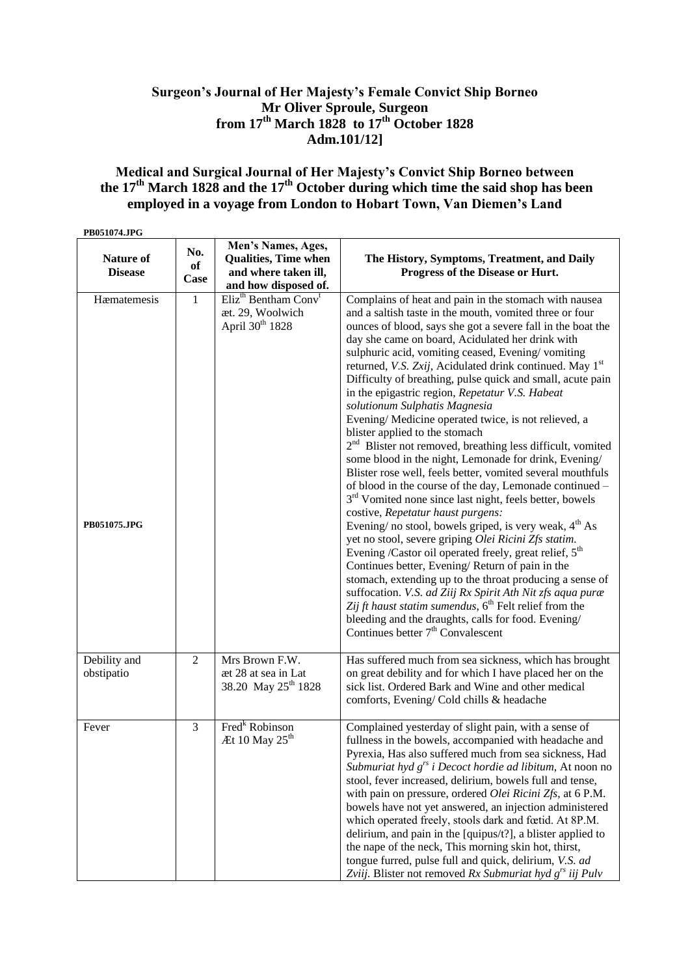# **Surgeon's Journal of Her Majesty's Female Convict Ship Borneo Mr Oliver Sproule, Surgeon from 17th March 1828 to 17th October 1828 Adm.101/12]**

## **Medical and Surgical Journal of Her Majesty's Convict Ship Borneo between the 17th March 1828 and the 17th October during which time the said shop has been employed in a voyage from London to Hobart Town, Van Diemen's Land**

| PB051074.JPG                |                   |                                                                                                   |                                                                                                                                                                                                                                                                                                                                                                                                                                                                                                                                                                                                                                                                                                                                                                                                                                                                                                                                                                                                                                                                                                                                                                                                                                                                                                                                                                                                                                                                                                                              |
|-----------------------------|-------------------|---------------------------------------------------------------------------------------------------|------------------------------------------------------------------------------------------------------------------------------------------------------------------------------------------------------------------------------------------------------------------------------------------------------------------------------------------------------------------------------------------------------------------------------------------------------------------------------------------------------------------------------------------------------------------------------------------------------------------------------------------------------------------------------------------------------------------------------------------------------------------------------------------------------------------------------------------------------------------------------------------------------------------------------------------------------------------------------------------------------------------------------------------------------------------------------------------------------------------------------------------------------------------------------------------------------------------------------------------------------------------------------------------------------------------------------------------------------------------------------------------------------------------------------------------------------------------------------------------------------------------------------|
| Nature of<br><b>Disease</b> | No.<br>of<br>Case | Men's Names, Ages,<br><b>Qualities, Time when</b><br>and where taken ill,<br>and how disposed of. | The History, Symptoms, Treatment, and Daily<br>Progress of the Disease or Hurt.                                                                                                                                                                                                                                                                                                                                                                                                                                                                                                                                                                                                                                                                                                                                                                                                                                                                                                                                                                                                                                                                                                                                                                                                                                                                                                                                                                                                                                              |
| Hæmatemesis<br>PB051075.JPG | $\mathbf{1}$      | Eliz <sup>th</sup> Bentham Conv <sup>t</sup><br>æt. 29, Woolwich<br>April 30 <sup>th</sup> 1828   | Complains of heat and pain in the stomach with nausea<br>and a saltish taste in the mouth, vomited three or four<br>ounces of blood, says she got a severe fall in the boat the<br>day she came on board, Acidulated her drink with<br>sulphuric acid, vomiting ceased, Evening/vomiting<br>returned, V.S. Zxij, Acidulated drink continued. May 1st<br>Difficulty of breathing, pulse quick and small, acute pain<br>in the epigastric region, Repetatur V.S. Habeat<br>solutionum Sulphatis Magnesia<br>Evening/ Medicine operated twice, is not relieved, a<br>blister applied to the stomach<br>2 <sup>nd</sup> Blister not removed, breathing less difficult, vomited<br>some blood in the night, Lemonade for drink, Evening/<br>Blister rose well, feels better, vomited several mouthfuls<br>of blood in the course of the day, Lemonade continued -<br>3 <sup>rd</sup> Vomited none since last night, feels better, bowels<br>costive, Repetatur haust purgens:<br>Evening/ no stool, bowels griped, is very weak, 4 <sup>th</sup> As<br>yet no stool, severe griping Olei Ricini Zfs statim.<br>Evening /Castor oil operated freely, great relief, 5 <sup>th</sup><br>Continues better, Evening/Return of pain in the<br>stomach, extending up to the throat producing a sense of<br>suffocation. V.S. ad Ziij Rx Spirit Ath Nit zfs aqua puræ<br>Zij ft haust statim sumendus, 6 <sup>th</sup> Felt relief from the<br>bleeding and the draughts, calls for food. Evening/<br>Continues better $7th$ Convalescent |
| Debility and<br>obstipatio  | 2                 | Mrs Brown F.W.<br>æt 28 at sea in Lat<br>38.20 May 25 <sup>th</sup> 1828                          | Has suffered much from sea sickness, which has brought<br>on great debility and for which I have placed her on the<br>sick list. Ordered Bark and Wine and other medical<br>comforts, Evening/ Cold chills & headache                                                                                                                                                                                                                                                                                                                                                                                                                                                                                                                                                                                                                                                                                                                                                                                                                                                                                                                                                                                                                                                                                                                                                                                                                                                                                                        |
| Fever                       | 3                 | Fred <sup>k</sup> Robinson<br>Æt 10 May 25 <sup>th</sup>                                          | Complained yesterday of slight pain, with a sense of<br>fullness in the bowels, accompanied with headache and<br>Pyrexia, Has also suffered much from sea sickness, Had<br>Submuriat hyd $g^{rs}$ i Decoct hordie ad libitum, At noon no<br>stool, fever increased, delirium, bowels full and tense,<br>with pain on pressure, ordered Olei Ricini Zfs, at 6 P.M.<br>bowels have not yet answered, an injection administered<br>which operated freely, stools dark and fœtid. At 8P.M.<br>delirium, and pain in the [quipus/t?], a blister applied to<br>the nape of the neck, This morning skin hot, thirst,<br>tongue furred, pulse full and quick, delirium, V.S. ad<br>Zviij. Blister not removed Rx Submuriat hyd $g^{rs}$ iij Pulv                                                                                                                                                                                                                                                                                                                                                                                                                                                                                                                                                                                                                                                                                                                                                                                     |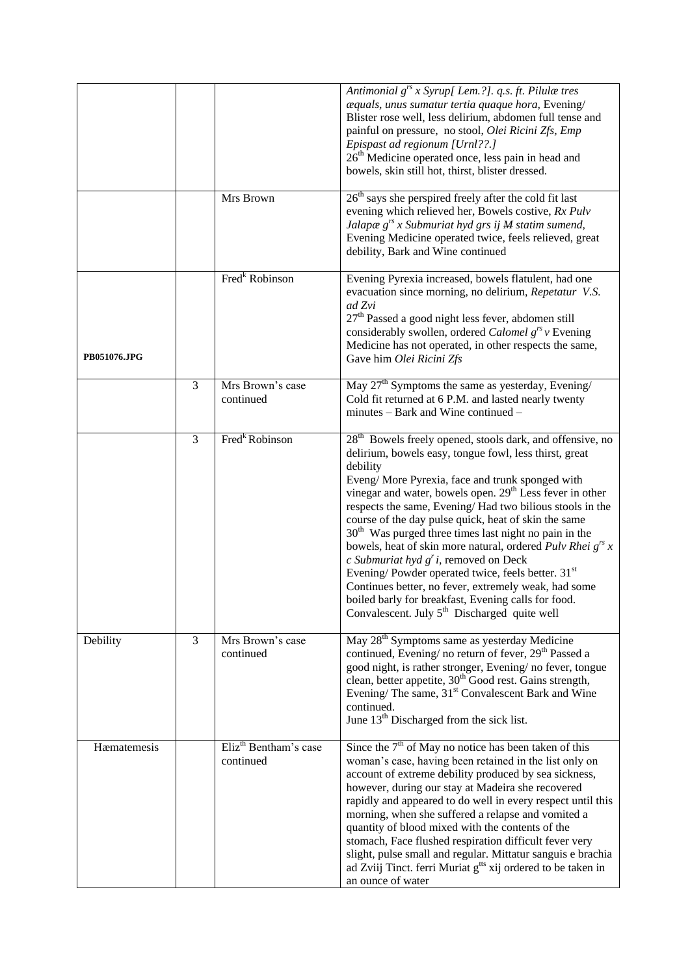|              |   |                                                | Antimonial g <sup>rs</sup> x Syrup[ Lem.?]. q.s. ft. Pilulæ tres<br>æquals, unus sumatur tertia quaque hora, Evening/<br>Blister rose well, less delirium, abdomen full tense and<br>painful on pressure, no stool, Olei Ricini Zfs, Emp<br>Epispast ad regionum [Urnl??.]<br>26 <sup>th</sup> Medicine operated once, less pain in head and<br>bowels, skin still hot, thirst, blister dressed.                                                                                                                                                                                                                                                                                                                                                                                                      |
|--------------|---|------------------------------------------------|-------------------------------------------------------------------------------------------------------------------------------------------------------------------------------------------------------------------------------------------------------------------------------------------------------------------------------------------------------------------------------------------------------------------------------------------------------------------------------------------------------------------------------------------------------------------------------------------------------------------------------------------------------------------------------------------------------------------------------------------------------------------------------------------------------|
|              |   | Mrs Brown                                      | 26 <sup>th</sup> says she perspired freely after the cold fit last<br>evening which relieved her, Bowels costive, Rx Pulv<br>Jalapæ $g^{rs}$ x Submuriat hyd grs ij $M$ statim sumend,<br>Evening Medicine operated twice, feels relieved, great<br>debility, Bark and Wine continued                                                                                                                                                                                                                                                                                                                                                                                                                                                                                                                 |
| PB051076.JPG |   | Fred <sup>k</sup> Robinson                     | Evening Pyrexia increased, bowels flatulent, had one<br>evacuation since morning, no delirium, Repetatur V.S.<br>ad Zvi<br>27 <sup>th</sup> Passed a good night less fever, abdomen still<br>considerably swollen, ordered Calomel $g^{rs}v$ Evening<br>Medicine has not operated, in other respects the same,<br>Gave him Olei Ricini Zfs                                                                                                                                                                                                                                                                                                                                                                                                                                                            |
|              | 3 | Mrs Brown's case<br>continued                  | May $27th$ Symptoms the same as yesterday, Evening/<br>Cold fit returned at 6 P.M. and lasted nearly twenty<br>minutes – Bark and Wine continued –                                                                                                                                                                                                                                                                                                                                                                                                                                                                                                                                                                                                                                                    |
|              | 3 | Fred <sup>k</sup> Robinson                     | $28th$ Bowels freely opened, stools dark, and offensive, no<br>delirium, bowels easy, tongue fowl, less thirst, great<br>debility<br>Eveng/More Pyrexia, face and trunk sponged with<br>vinegar and water, bowels open. 29 <sup>th</sup> Less fever in other<br>respects the same, Evening/Had two bilious stools in the<br>course of the day pulse quick, heat of skin the same<br>30 <sup>th</sup> Was purged three times last night no pain in the<br>bowels, heat of skin more natural, ordered Pulv Rhei $g^{rs}$ x<br>c Submuriat hyd $g'$ i, removed on Deck<br>Evening/Powder operated twice, feels better. 31 <sup>st</sup><br>Continues better, no fever, extremely weak, had some<br>boiled barly for breakfast, Evening calls for food.<br>Convalescent. July $5th$ Discharged quite well |
| Debility     | 3 | Mrs Brown's case<br>continued                  | May 28 <sup>th</sup> Symptoms same as yesterday Medicine<br>continued, Evening/no return of fever, 29 <sup>th</sup> Passed a<br>good night, is rather stronger, Evening/ no fever, tongue<br>clean, better appetite, 30 <sup>th</sup> Good rest. Gains strength,<br>Evening/ The same, 31 <sup>st</sup> Convalescent Bark and Wine<br>continued.<br>June 13 <sup>th</sup> Discharged from the sick list.                                                                                                                                                                                                                                                                                                                                                                                              |
| Hæmatemesis  |   | Eliz <sup>th</sup> Bentham's case<br>continued | Since the $7th$ of May no notice has been taken of this<br>woman's case, having been retained in the list only on<br>account of extreme debility produced by sea sickness,<br>however, during our stay at Madeira she recovered<br>rapidly and appeared to do well in every respect until this<br>morning, when she suffered a relapse and vomited a<br>quantity of blood mixed with the contents of the<br>stomach, Face flushed respiration difficult fever very<br>slight, pulse small and regular. Mittatur sanguis e brachia<br>ad Zviij Tinct. ferri Muriat g <sup>tts</sup> xij ordered to be taken in<br>an ounce of water                                                                                                                                                                    |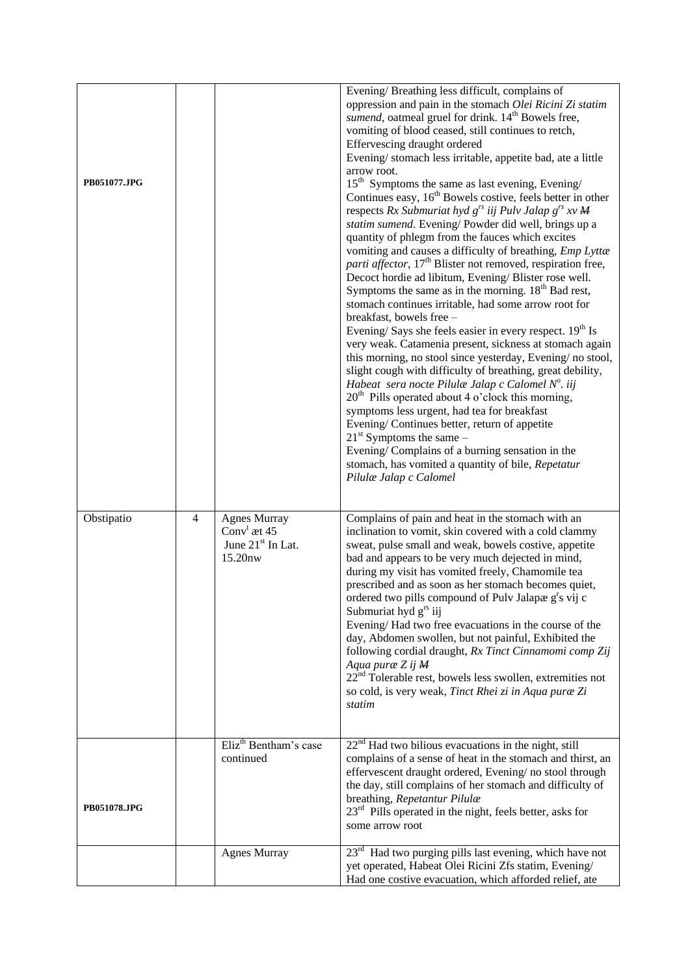| PB051077.JPG |                |                                                                                    | Evening/Breathing less difficult, complains of<br>oppression and pain in the stomach Olei Ricini Zi statim<br>sumend, oatmeal gruel for drink. 14 <sup>th</sup> Bowels free,<br>vomiting of blood ceased, still continues to retch,<br>Effervescing draught ordered<br>Evening/stomach less irritable, appetite bad, ate a little<br>arrow root.<br>$15^{\text{th}}$ Symptoms the same as last evening, Evening/<br>Continues easy, 16 <sup>th</sup> Bowels costive, feels better in other<br>respects Rx Submuriat hyd $g^{rs}$ iij Pulv Jalap $g^{rs}$ xv M<br>statim sumend. Evening/Powder did well, brings up a<br>quantity of phlegm from the fauces which excites<br>vomiting and causes a difficulty of breathing, Emp Lyttæ<br>parti affector, 17 <sup>th</sup> Blister not removed, respiration free,<br>Decoct hordie ad libitum, Evening/Blister rose well.<br>Symptoms the same as in the morning. $18th$ Bad rest,<br>stomach continues irritable, had some arrow root for<br>breakfast, bowels free -<br>Evening/Says she feels easier in every respect. 19 <sup>th</sup> Is<br>very weak. Catamenia present, sickness at stomach again<br>this morning, no stool since yesterday, Evening/no stool,<br>slight cough with difficulty of breathing, great debility,<br>Habeat sera nocte Pilulæ Jalap c Calomel $N^o$ . iij<br>20 <sup>th</sup> Pills operated about 4 o'clock this morning,<br>symptoms less urgent, had tea for breakfast<br>Evening/Continues better, return of appetite<br>$21st$ Symptoms the same –<br>Evening/Complains of a burning sensation in the<br>stomach, has vomited a quantity of bile, Repetatur<br>Pilulæ Jalap c Calomel |
|--------------|----------------|------------------------------------------------------------------------------------|----------------------------------------------------------------------------------------------------------------------------------------------------------------------------------------------------------------------------------------------------------------------------------------------------------------------------------------------------------------------------------------------------------------------------------------------------------------------------------------------------------------------------------------------------------------------------------------------------------------------------------------------------------------------------------------------------------------------------------------------------------------------------------------------------------------------------------------------------------------------------------------------------------------------------------------------------------------------------------------------------------------------------------------------------------------------------------------------------------------------------------------------------------------------------------------------------------------------------------------------------------------------------------------------------------------------------------------------------------------------------------------------------------------------------------------------------------------------------------------------------------------------------------------------------------------------------------------------------------------------------------------------------------------------------|
| Obstipatio   | $\overline{4}$ | <b>Agnes Murray</b><br>Conv $^t$ æt 45<br>June 21 <sup>st</sup> In Lat.<br>15.20nw | Complains of pain and heat in the stomach with an<br>inclination to vomit, skin covered with a cold clammy<br>sweat, pulse small and weak, bowels costive, appetite<br>bad and appears to be very much dejected in mind,<br>during my visit has vomited freely, Chamomile tea<br>prescribed and as soon as her stomach becomes quiet,<br>ordered two pills compound of Pulv Jalapæ g <sup>r</sup> s vij c<br>Submuriat hyd g <sup>rs</sup> iij<br>Evening/Had two free evacuations in the course of the<br>day, Abdomen swollen, but not painful, Exhibited the<br>following cordial draught, Rx Tinct Cinnamomi comp Zij<br>Aqua puræ Z ij M<br>22 <sup>nd</sup> Tolerable rest, bowels less swollen, extremities not<br>so cold, is very weak, Tinct Rhei zi in Aqua puræ Zi<br>statim                                                                                                                                                                                                                                                                                                                                                                                                                                                                                                                                                                                                                                                                                                                                                                                                                                                                                   |
| PB051078.JPG |                | Eliz <sup>th</sup> Bentham's case<br>continued                                     | $22nd$ Had two bilious evacuations in the night, still<br>complains of a sense of heat in the stomach and thirst, an<br>effervescent draught ordered, Evening/ no stool through<br>the day, still complains of her stomach and difficulty of<br>breathing, Repetantur Pilulæ<br>$23rd$ Pills operated in the night, feels better, asks for<br>some arrow root                                                                                                                                                                                                                                                                                                                                                                                                                                                                                                                                                                                                                                                                                                                                                                                                                                                                                                                                                                                                                                                                                                                                                                                                                                                                                                              |
|              |                | <b>Agnes Murray</b>                                                                | $23rd$ Had two purging pills last evening, which have not<br>yet operated, Habeat Olei Ricini Zfs statim, Evening/<br>Had one costive evacuation, which afforded relief, ate                                                                                                                                                                                                                                                                                                                                                                                                                                                                                                                                                                                                                                                                                                                                                                                                                                                                                                                                                                                                                                                                                                                                                                                                                                                                                                                                                                                                                                                                                               |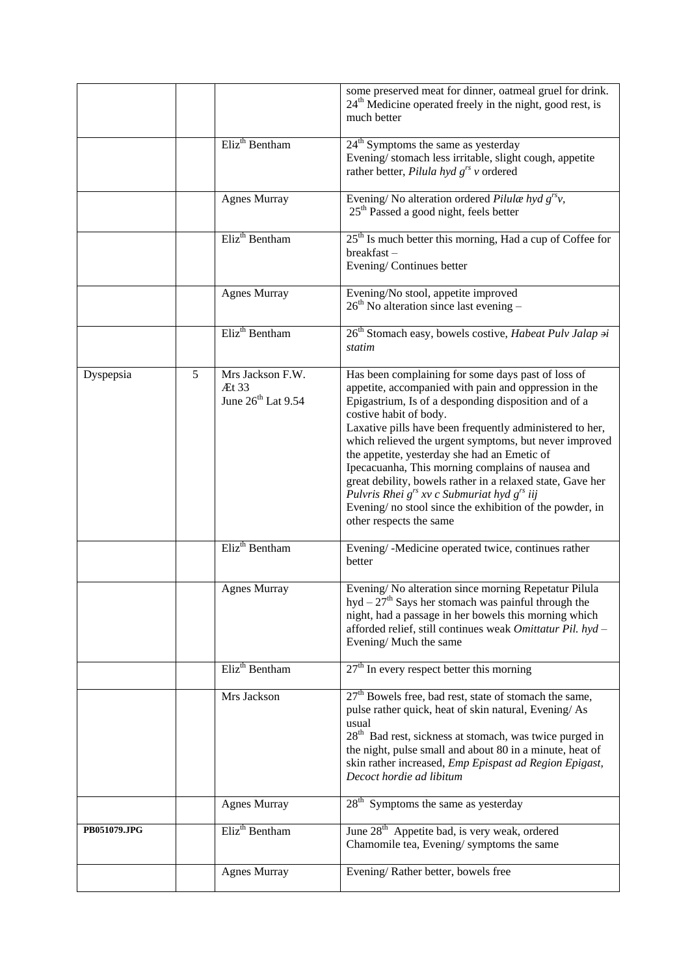|              |   |                                                             | some preserved meat for dinner, oatmeal gruel for drink.<br>$24th$ Medicine operated freely in the night, good rest, is<br>much better                                                                                                                                                                                                                                                                                                                                                                                                                                                                                                |
|--------------|---|-------------------------------------------------------------|---------------------------------------------------------------------------------------------------------------------------------------------------------------------------------------------------------------------------------------------------------------------------------------------------------------------------------------------------------------------------------------------------------------------------------------------------------------------------------------------------------------------------------------------------------------------------------------------------------------------------------------|
|              |   | Eliz <sup>th</sup> Bentham                                  | $24th$ Symptoms the same as yesterday<br>Evening/stomach less irritable, slight cough, appetite<br>rather better, Pilula hyd $g^{rs}$ v ordered                                                                                                                                                                                                                                                                                                                                                                                                                                                                                       |
|              |   | <b>Agnes Murray</b>                                         | Evening/No alteration ordered Pilulæ hyd $g^{rs}v$ ,<br>$25th$ Passed a good night, feels better                                                                                                                                                                                                                                                                                                                                                                                                                                                                                                                                      |
|              |   | Eliz <sup>th</sup> Bentham                                  | $25th$ Is much better this morning, Had a cup of Coffee for<br>breakfast-<br>Evening/Continues better                                                                                                                                                                                                                                                                                                                                                                                                                                                                                                                                 |
|              |   | <b>Agnes Murray</b>                                         | Evening/No stool, appetite improved<br>$26th$ No alteration since last evening –                                                                                                                                                                                                                                                                                                                                                                                                                                                                                                                                                      |
|              |   | Eliz <sup>th</sup> Bentham                                  | 26 <sup>th</sup> Stomach easy, bowels costive, <i>Habeat Pulv Jalap ai</i><br>statim                                                                                                                                                                                                                                                                                                                                                                                                                                                                                                                                                  |
| Dyspepsia    | 5 | Mrs Jackson F.W.<br>Æt 33<br>June 26 <sup>th</sup> Lat 9.54 | Has been complaining for some days past of loss of<br>appetite, accompanied with pain and oppression in the<br>Epigastrium, Is of a desponding disposition and of a<br>costive habit of body.<br>Laxative pills have been frequently administered to her,<br>which relieved the urgent symptoms, but never improved<br>the appetite, yesterday she had an Emetic of<br>Ipecacuanha, This morning complains of nausea and<br>great debility, bowels rather in a relaxed state, Gave her<br>Pulvris Rhei $g^{rs}$ xv c Submuriat hyd $g^{rs}$ iij<br>Evening/no stool since the exhibition of the powder, in<br>other respects the same |
|              |   | Eliz <sup>th</sup> Bentham                                  | Evening/-Medicine operated twice, continues rather<br>better                                                                                                                                                                                                                                                                                                                                                                                                                                                                                                                                                                          |
|              |   | <b>Agnes Murray</b>                                         | Evening/No alteration since morning Repetatur Pilula<br>hyd – $27th$ Says her stomach was painful through the<br>night, had a passage in her bowels this morning which<br>afforded relief, still continues weak Omittatur Pil. hyd-<br>Evening/Much the same                                                                                                                                                                                                                                                                                                                                                                          |
|              |   | Eliz <sup>th</sup> Bentham                                  | $27th$ In every respect better this morning                                                                                                                                                                                                                                                                                                                                                                                                                                                                                                                                                                                           |
|              |   | Mrs Jackson                                                 | 27 <sup>th</sup> Bowels free, bad rest, state of stomach the same,<br>pulse rather quick, heat of skin natural, Evening/As<br>usual<br>28 <sup>th</sup> Bad rest, sickness at stomach, was twice purged in<br>the night, pulse small and about 80 in a minute, heat of<br>skin rather increased, Emp Epispast ad Region Epigast,<br>Decoct hordie ad libitum                                                                                                                                                                                                                                                                          |
|              |   | <b>Agnes Murray</b>                                         | $28th$ Symptoms the same as yesterday                                                                                                                                                                                                                                                                                                                                                                                                                                                                                                                                                                                                 |
| PB051079.JPG |   | Eliz <sup>th</sup> Bentham                                  | June 28 <sup>th</sup> Appetite bad, is very weak, ordered<br>Chamomile tea, Evening/symptoms the same                                                                                                                                                                                                                                                                                                                                                                                                                                                                                                                                 |
|              |   | <b>Agnes Murray</b>                                         | Evening/Rather better, bowels free                                                                                                                                                                                                                                                                                                                                                                                                                                                                                                                                                                                                    |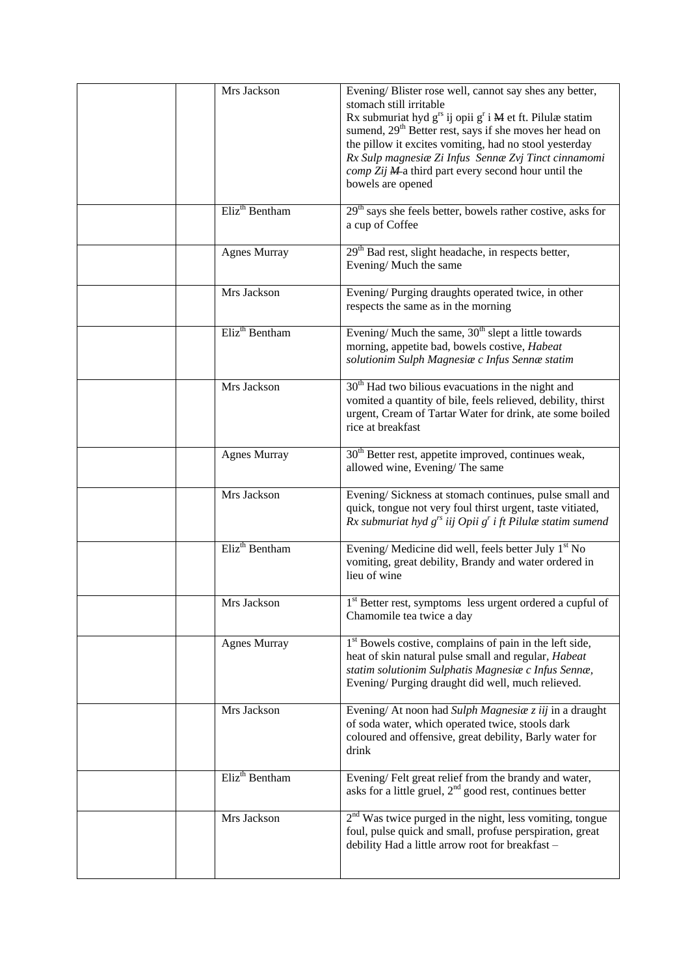| Mrs Jackson                | Evening/Blister rose well, cannot say shes any better,<br>stomach still irritable<br>Rx submuriat hyd $g^{rs}$ ij opii $g^{r}$ i $M$ et ft. Pilulæ statim<br>sumend, 29 <sup>th</sup> Better rest, says if she moves her head on<br>the pillow it excites vomiting, had no stool yesterday<br>Rx Sulp magnesiæ Zi Infus Sennæ Zvj Tinct cinnamomi<br>comp Zij Ma third part every second hour until the<br>bowels are opened |
|----------------------------|------------------------------------------------------------------------------------------------------------------------------------------------------------------------------------------------------------------------------------------------------------------------------------------------------------------------------------------------------------------------------------------------------------------------------|
| Eliz <sup>th</sup> Bentham | 29 <sup>th</sup> says she feels better, bowels rather costive, asks for<br>a cup of Coffee                                                                                                                                                                                                                                                                                                                                   |
| <b>Agnes Murray</b>        | 29 <sup>th</sup> Bad rest, slight headache, in respects better,<br>Evening/Much the same                                                                                                                                                                                                                                                                                                                                     |
| Mrs Jackson                | Evening/Purging draughts operated twice, in other<br>respects the same as in the morning                                                                                                                                                                                                                                                                                                                                     |
| Eliz <sup>th</sup> Bentham | Evening/ Much the same, $30th$ slept a little towards<br>morning, appetite bad, bowels costive, Habeat<br>solutionim Sulph Magnesiæ c Infus Sennæ statim                                                                                                                                                                                                                                                                     |
| Mrs Jackson                | 30 <sup>th</sup> Had two bilious evacuations in the night and<br>vomited a quantity of bile, feels relieved, debility, thirst<br>urgent, Cream of Tartar Water for drink, ate some boiled<br>rice at breakfast                                                                                                                                                                                                               |
| <b>Agnes Murray</b>        | 30 <sup>th</sup> Better rest, appetite improved, continues weak,<br>allowed wine, Evening/The same                                                                                                                                                                                                                                                                                                                           |
| Mrs Jackson                | Evening/Sickness at stomach continues, pulse small and<br>quick, tongue not very foul thirst urgent, taste vitiated,<br>Rx submuriat hyd $g^{rs}$ iij Opii $g^{r}$ i ft Pilulæ statim sumend                                                                                                                                                                                                                                 |
| Eliz <sup>th</sup> Bentham | Evening/Medicine did well, feels better July 1 <sup>st</sup> No<br>vomiting, great debility, Brandy and water ordered in<br>lieu of wine                                                                                                                                                                                                                                                                                     |
| Mrs Jackson                | $1st$ Better rest, symptoms less urgent ordered a cupful of<br>Chamomile tea twice a day                                                                                                                                                                                                                                                                                                                                     |
| <b>Agnes Murray</b>        | 1 <sup>st</sup> Bowels costive, complains of pain in the left side,<br>heat of skin natural pulse small and regular, Habeat<br>statim solutionim Sulphatis Magnesiæ c Infus Sennæ,<br>Evening/Purging draught did well, much relieved.                                                                                                                                                                                       |
| Mrs Jackson                | Evening/ At noon had Sulph Magnesia z iij in a draught<br>of soda water, which operated twice, stools dark<br>coloured and offensive, great debility, Barly water for<br>drink                                                                                                                                                                                                                                               |
| Eliz <sup>th</sup> Bentham | Evening/Felt great relief from the brandy and water,<br>asks for a little gruel, $2nd$ good rest, continues better                                                                                                                                                                                                                                                                                                           |
| Mrs Jackson                | $2nd$ Was twice purged in the night, less vomiting, tongue<br>foul, pulse quick and small, profuse perspiration, great<br>debility Had a little arrow root for breakfast -                                                                                                                                                                                                                                                   |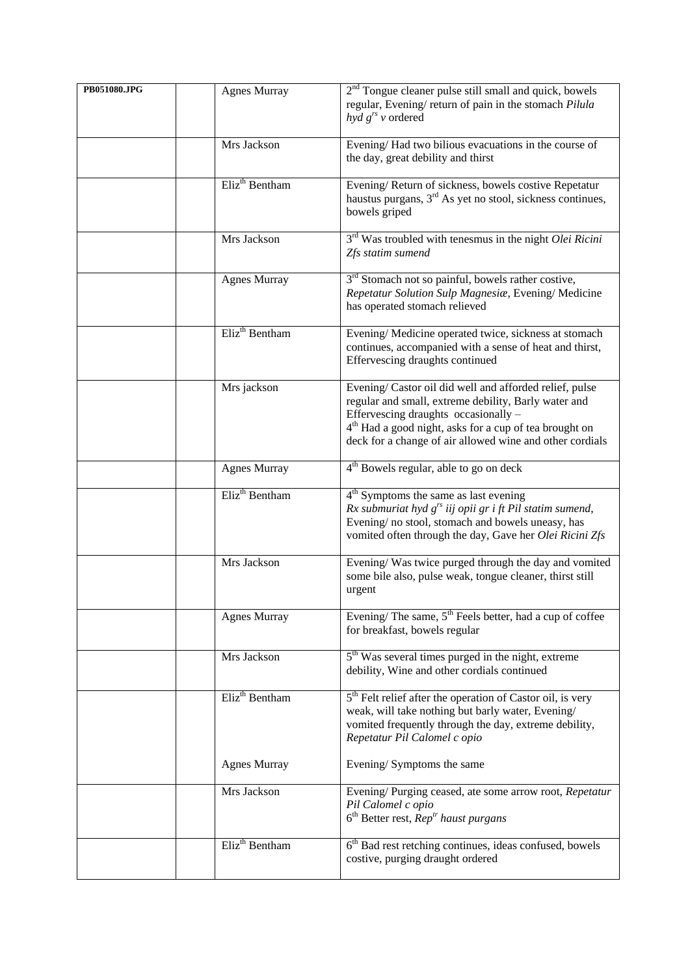| PB051080.JPG | <b>Agnes Murray</b>        | 2 <sup>nd</sup> Tongue cleaner pulse still small and quick, bowels<br>regular, Evening/return of pain in the stomach Pilula<br>$hyd g^{rs} v$ ordered                                                                                                                                    |
|--------------|----------------------------|------------------------------------------------------------------------------------------------------------------------------------------------------------------------------------------------------------------------------------------------------------------------------------------|
|              | Mrs Jackson                | Evening/Had two bilious evacuations in the course of<br>the day, great debility and thirst                                                                                                                                                                                               |
|              | Eliz <sup>th</sup> Bentham | Evening/Return of sickness, bowels costive Repetatur<br>haustus purgans, 3 <sup>rd</sup> As yet no stool, sickness continues,<br>bowels griped                                                                                                                                           |
|              | Mrs Jackson                | $3rd$ Was troubled with tenesmus in the night Olei Ricini<br>Zfs statim sumend                                                                                                                                                                                                           |
|              | <b>Agnes Murray</b>        | 3 <sup>rd</sup> Stomach not so painful, bowels rather costive,<br>Repetatur Solution Sulp Magnesiae, Evening/Medicine<br>has operated stomach relieved                                                                                                                                   |
|              | Eliz <sup>th</sup> Bentham | Evening/Medicine operated twice, sickness at stomach<br>continues, accompanied with a sense of heat and thirst,<br>Effervescing draughts continued                                                                                                                                       |
|              | Mrs jackson                | Evening/Castor oil did well and afforded relief, pulse<br>regular and small, extreme debility, Barly water and<br>Effervescing draughts occasionally -<br>4 <sup>th</sup> Had a good night, asks for a cup of tea brought on<br>deck for a change of air allowed wine and other cordials |
|              | <b>Agnes Murray</b>        | 4 <sup>th</sup> Bowels regular, able to go on deck                                                                                                                                                                                                                                       |
|              | Eliz <sup>th</sup> Bentham | $4th$ Symptoms the same as last evening<br>Rx submuriat hyd $g^{rs}$ iij opii gr i ft Pil statim sumend,<br>Evening/no stool, stomach and bowels uneasy, has<br>vomited often through the day, Gave her Olei Ricini Zfs                                                                  |
|              | Mrs Jackson                | Evening/Was twice purged through the day and vomited<br>some bile also, pulse weak, tongue cleaner, thirst still<br>urgent                                                                                                                                                               |
|              | <b>Agnes Murray</b>        | Evening/ The same, $5th$ Feels better, had a cup of coffee<br>for breakfast, bowels regular                                                                                                                                                                                              |
|              | Mrs Jackson                | 5 <sup>th</sup> Was several times purged in the night, extreme<br>debility, Wine and other cordials continued                                                                                                                                                                            |
|              | Eliz <sup>th</sup> Bentham | $5th$ Felt relief after the operation of Castor oil, is very<br>weak, will take nothing but barly water, Evening/<br>vomited frequently through the day, extreme debility,<br>Repetatur Pil Calomel c opio                                                                               |
|              | <b>Agnes Murray</b>        | Evening/Symptoms the same                                                                                                                                                                                                                                                                |
|              | Mrs Jackson                | Evening/Purging ceased, ate some arrow root, Repetatur<br>Pil Calomel c opio<br>$6th$ Better rest, $Reptr$ haust purgans                                                                                                                                                                 |
|              | Eliz <sup>th</sup> Bentham | 6 <sup>th</sup> Bad rest retching continues, ideas confused, bowels<br>costive, purging draught ordered                                                                                                                                                                                  |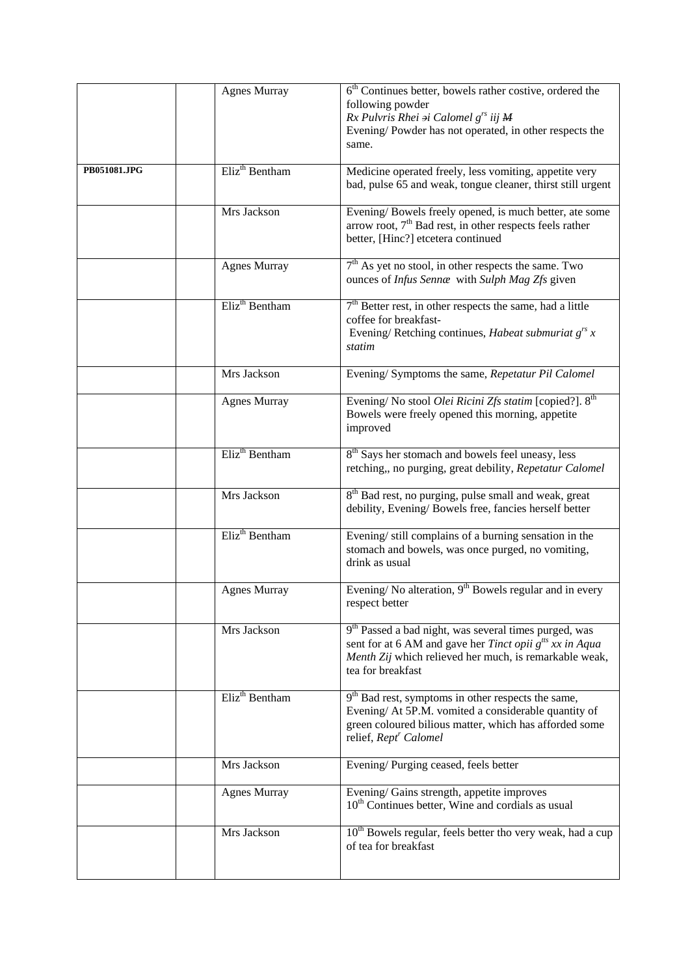|              | <b>Agnes Murray</b>        | $6th$ Continues better, bowels rather costive, ordered the                                                     |
|--------------|----------------------------|----------------------------------------------------------------------------------------------------------------|
|              |                            | following powder<br>Rx Pulvris Rhei ai Calomel g <sup>rs</sup> iij M                                           |
|              |                            | Evening/Powder has not operated, in other respects the                                                         |
|              |                            | same.                                                                                                          |
| PB051081.JPG | Eliz <sup>th</sup> Bentham | Medicine operated freely, less vomiting, appetite very                                                         |
|              |                            | bad, pulse 65 and weak, tongue cleaner, thirst still urgent                                                    |
|              | Mrs Jackson                | Evening/Bowels freely opened, is much better, ate some                                                         |
|              |                            | arrow root, 7 <sup>th</sup> Bad rest, in other respects feels rather<br>better, [Hinc?] etcetera continued     |
|              |                            |                                                                                                                |
|              | <b>Agnes Murray</b>        | 7 <sup>th</sup> As yet no stool, in other respects the same. Two                                               |
|              |                            | ounces of Infus Senna with Sulph Mag Zfs given                                                                 |
|              | Eliz <sup>th</sup> Bentham | $7th$ Better rest, in other respects the same, had a little                                                    |
|              |                            | coffee for breakfast-                                                                                          |
|              |                            | Evening/Retching continues, Habeat submuriat $g^{rs}$ x<br>statim                                              |
|              |                            |                                                                                                                |
|              | Mrs Jackson                | Evening/ Symptoms the same, Repetatur Pil Calomel                                                              |
|              | <b>Agnes Murray</b>        | Evening/ No stool Olei Ricini Zfs statim [copied?]. 8 <sup>th</sup>                                            |
|              |                            | Bowels were freely opened this morning, appetite                                                               |
|              |                            | improved                                                                                                       |
|              | Eliz <sup>th</sup> Bentham | 8 <sup>th</sup> Says her stomach and bowels feel uneasy, less                                                  |
|              |                            | retching,, no purging, great debility, Repetatur Calomel                                                       |
|              | Mrs Jackson                | 8 <sup>th</sup> Bad rest, no purging, pulse small and weak, great                                              |
|              |                            | debility, Evening/Bowels free, fancies herself better                                                          |
|              | Eliz <sup>th</sup> Bentham | Evening/still complains of a burning sensation in the                                                          |
|              |                            | stomach and bowels, was once purged, no vomiting,                                                              |
|              |                            | drink as usual                                                                                                 |
|              | <b>Agnes Murray</b>        | Evening/No alteration, $9th$ Bowels regular and in every                                                       |
|              |                            | respect better                                                                                                 |
|              | Mrs Jackson                | 9 <sup>th</sup> Passed a bad night, was several times purged, was                                              |
|              |                            | sent for at 6 AM and gave her <i>Tinct opii</i> $g^{its} xx$ in Aqua                                           |
|              |                            | Menth Zij which relieved her much, is remarkable weak,<br>tea for breakfast                                    |
|              |                            |                                                                                                                |
|              | Eliz <sup>th</sup> Bentham | 9 <sup>th</sup> Bad rest, symptoms in other respects the same,                                                 |
|              |                            | Evening/ At 5P.M. vomited a considerable quantity of<br>green coloured bilious matter, which has afforded some |
|              |                            | relief, Rept <sup>r</sup> Calomel                                                                              |
|              | Mrs Jackson                | Evening/Purging ceased, feels better                                                                           |
|              |                            |                                                                                                                |
|              | <b>Agnes Murray</b>        | Evening/Gains strength, appetite improves<br>$10th$ Continues better, Wine and cordials as usual               |
|              | Mrs Jackson                | 10 <sup>th</sup> Bowels regular, feels better tho very weak, had a cup                                         |
|              |                            | of tea for breakfast                                                                                           |
|              |                            |                                                                                                                |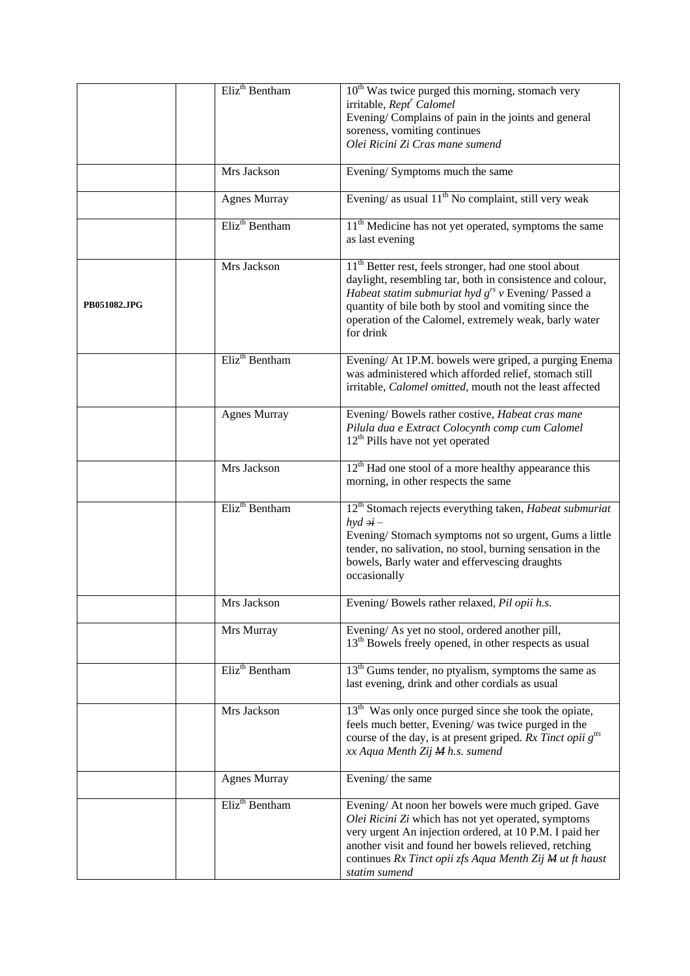|              | Eliz <sup>th</sup> Bentham | 10 <sup>th</sup> Was twice purged this morning, stomach very<br>irritable, Rept <sup>r</sup> Calomel<br>Evening/Complains of pain in the joints and general<br>soreness, vomiting continues<br>Olei Ricini Zi Cras mane sumend                                                                                           |
|--------------|----------------------------|--------------------------------------------------------------------------------------------------------------------------------------------------------------------------------------------------------------------------------------------------------------------------------------------------------------------------|
|              | Mrs Jackson                | Evening/Symptoms much the same                                                                                                                                                                                                                                                                                           |
|              | <b>Agnes Murray</b>        | Evening/ as usual 11 <sup>th</sup> No complaint, still very weak                                                                                                                                                                                                                                                         |
|              | Eliz <sup>th</sup> Bentham | 11 <sup>th</sup> Medicine has not yet operated, symptoms the same<br>as last evening                                                                                                                                                                                                                                     |
| PB051082.JPG | Mrs Jackson                | 11 <sup>th</sup> Better rest, feels stronger, had one stool about<br>daylight, resembling tar, both in consistence and colour,<br>Habeat statim submuriat hyd $g^{rs}$ v Evening/Passed a<br>quantity of bile both by stool and vomiting since the<br>operation of the Calomel, extremely weak, barly water<br>for drink |
|              | Eliz <sup>th</sup> Bentham | Evening/ At 1P.M. bowels were griped, a purging Enema<br>was administered which afforded relief, stomach still<br>irritable, Calomel omitted, mouth not the least affected                                                                                                                                               |
|              | <b>Agnes Murray</b>        | Evening/Bowels rather costive, Habeat cras mane<br>Pilula dua e Extract Colocynth comp cum Calomel<br>$12th$ Pills have not yet operated                                                                                                                                                                                 |
|              | Mrs Jackson                | $12th$ Had one stool of a more healthy appearance this<br>morning, in other respects the same                                                                                                                                                                                                                            |
|              | Eliz <sup>th</sup> Bentham | 12 <sup>th</sup> Stomach rejects everything taken, Habeat submuriat<br>$hyd \, ai$<br>Evening/Stomach symptoms not so urgent, Gums a little<br>tender, no salivation, no stool, burning sensation in the<br>bowels, Barly water and effervescing draughts<br>occasionally                                                |
|              | Mrs Jackson                | Evening/Bowels rather relaxed, Pil opii h.s.                                                                                                                                                                                                                                                                             |
|              | Mrs Murray                 | Evening/As yet no stool, ordered another pill,<br>13 <sup>th</sup> Bowels freely opened, in other respects as usual                                                                                                                                                                                                      |
|              | Eliz <sup>th</sup> Bentham | $13th$ Gums tender, no ptyalism, symptoms the same as<br>last evening, drink and other cordials as usual                                                                                                                                                                                                                 |
|              | Mrs Jackson                | 13 <sup>th</sup> Was only once purged since she took the opiate,<br>feels much better, Evening/was twice purged in the<br>course of the day, is at present griped. Rx Tinct opii $g^{its}$<br>xx Aqua Menth Zij M h.s. sumend                                                                                            |
|              | <b>Agnes Murray</b>        | Evening/ the same                                                                                                                                                                                                                                                                                                        |
|              | Eliz <sup>th</sup> Bentham | Evening/ At noon her bowels were much griped. Gave<br>Olei Ricini Zi which has not yet operated, symptoms<br>very urgent An injection ordered, at 10 P.M. I paid her<br>another visit and found her bowels relieved, retching<br>continues Rx Tinct opii zfs Aqua Menth Zij M ut ft haust<br>statim sumend               |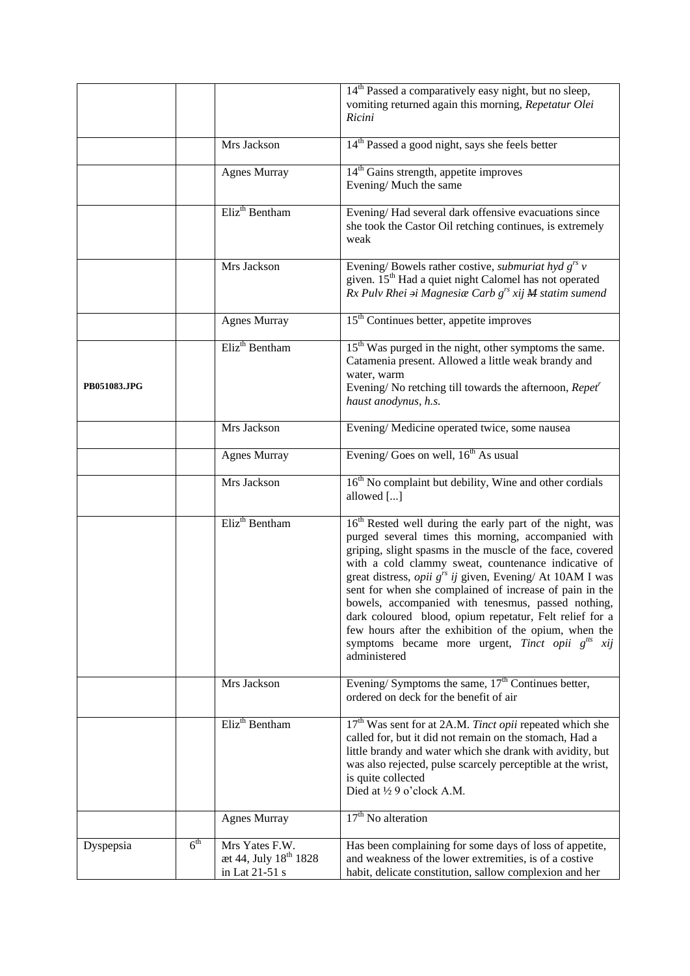|              |                 |                                                                       | 14 <sup>th</sup> Passed a comparatively easy night, but no sleep,<br>vomiting returned again this morning, Repetatur Olei<br>Ricini                                                                                                                                                                                                                                                                                                                                                                                                                                                                                                                     |
|--------------|-----------------|-----------------------------------------------------------------------|---------------------------------------------------------------------------------------------------------------------------------------------------------------------------------------------------------------------------------------------------------------------------------------------------------------------------------------------------------------------------------------------------------------------------------------------------------------------------------------------------------------------------------------------------------------------------------------------------------------------------------------------------------|
|              |                 | Mrs Jackson                                                           | 14 <sup>th</sup> Passed a good night, says she feels better                                                                                                                                                                                                                                                                                                                                                                                                                                                                                                                                                                                             |
|              |                 | <b>Agnes Murray</b>                                                   | 14 <sup>th</sup> Gains strength, appetite improves<br>Evening/Much the same                                                                                                                                                                                                                                                                                                                                                                                                                                                                                                                                                                             |
|              |                 | Eliz <sup>th</sup> Bentham                                            | Evening/Had several dark offensive evacuations since<br>she took the Castor Oil retching continues, is extremely<br>weak                                                                                                                                                                                                                                                                                                                                                                                                                                                                                                                                |
|              |                 | Mrs Jackson                                                           | Evening/Bowels rather costive, <i>submuriat hyd</i> $g^{rs}$ v<br>given. 15 <sup>th</sup> Had a quiet night Calomel has not operated<br>$Rx$ Pulv Rhei $\mathcal{A}$ i Magnesiæ Carb $g^{rs}$ xij $M$ statim sumend                                                                                                                                                                                                                                                                                                                                                                                                                                     |
|              |                 | <b>Agnes Murray</b>                                                   | 15 <sup>th</sup> Continues better, appetite improves                                                                                                                                                                                                                                                                                                                                                                                                                                                                                                                                                                                                    |
| PB051083.JPG |                 | Eliz <sup>th</sup> Bentham                                            | 15 <sup>th</sup> Was purged in the night, other symptoms the same.<br>Catamenia present. Allowed a little weak brandy and<br>water, warm<br>Evening/No retching till towards the afternoon, $Repetr$<br>haust anodynus, h.s.                                                                                                                                                                                                                                                                                                                                                                                                                            |
|              |                 | Mrs Jackson                                                           | Evening/ Medicine operated twice, some nausea                                                                                                                                                                                                                                                                                                                                                                                                                                                                                                                                                                                                           |
|              |                 | <b>Agnes Murray</b>                                                   | Evening/Goes on well, $16th$ As usual                                                                                                                                                                                                                                                                                                                                                                                                                                                                                                                                                                                                                   |
|              |                 | Mrs Jackson                                                           | 16 <sup>th</sup> No complaint but debility, Wine and other cordials<br>allowed []                                                                                                                                                                                                                                                                                                                                                                                                                                                                                                                                                                       |
|              |                 | Eliz <sup>th</sup> Bentham                                            | 16 <sup>th</sup> Rested well during the early part of the night, was<br>purged several times this morning, accompanied with<br>griping, slight spasms in the muscle of the face, covered<br>with a cold clammy sweat, countenance indicative of<br>great distress, <i>opii</i> g <sup>rs</sup> ij given, Evening/ At 10AM I was<br>sent for when she complained of increase of pain in the<br>bowels, accompanied with tenesmus, passed nothing,<br>dark coloured blood, opium repetatur, Felt relief for a<br>few hours after the exhibition of the opium, when the<br>symptoms became more urgent, <i>Tinct opii</i> $g^{its}$<br>xij<br>administered |
|              |                 | Mrs Jackson                                                           | Evening/Symptoms the same, $17th$ Continues better,<br>ordered on deck for the benefit of air                                                                                                                                                                                                                                                                                                                                                                                                                                                                                                                                                           |
|              |                 | Eliz <sup>th</sup> Bentham                                            | 17 <sup>th</sup> Was sent for at 2A.M. Tinct opii repeated which she<br>called for, but it did not remain on the stomach, Had a<br>little brandy and water which she drank with avidity, but<br>was also rejected, pulse scarcely perceptible at the wrist,<br>is quite collected<br>Died at 1/2 9 o'clock A.M.                                                                                                                                                                                                                                                                                                                                         |
|              |                 | <b>Agnes Murray</b>                                                   | $17th$ No alteration                                                                                                                                                                                                                                                                                                                                                                                                                                                                                                                                                                                                                                    |
| Dyspepsia    | 6 <sup>th</sup> | Mrs Yates F.W.<br>æt 44, July 18 <sup>th</sup> 1828<br>in Lat 21-51 s | Has been complaining for some days of loss of appetite,<br>and weakness of the lower extremities, is of a costive<br>habit, delicate constitution, sallow complexion and her                                                                                                                                                                                                                                                                                                                                                                                                                                                                            |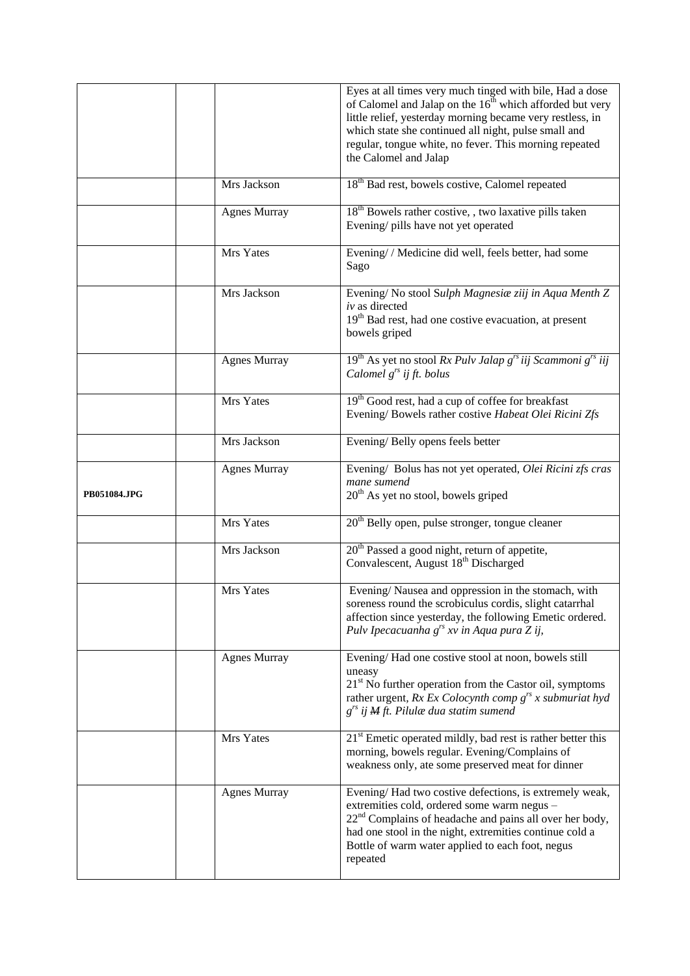|              |                     | Eyes at all times very much tinged with bile, Had a dose<br>of Calomel and Jalap on the $16^{\text{th}}$ which afforded but very<br>little relief, yesterday morning became very restless, in<br>which state she continued all night, pulse small and<br>regular, tongue white, no fever. This morning repeated<br>the Calomel and Jalap |
|--------------|---------------------|------------------------------------------------------------------------------------------------------------------------------------------------------------------------------------------------------------------------------------------------------------------------------------------------------------------------------------------|
|              | Mrs Jackson         | 18 <sup>th</sup> Bad rest, bowels costive, Calomel repeated                                                                                                                                                                                                                                                                              |
|              | <b>Agnes Murray</b> | 18 <sup>th</sup> Bowels rather costive, , two laxative pills taken<br>Evening/ pills have not yet operated                                                                                                                                                                                                                               |
|              | Mrs Yates           | Evening/ / Medicine did well, feels better, had some<br>Sago                                                                                                                                                                                                                                                                             |
|              | Mrs Jackson         | Evening/No stool Sulph Magnesia ziij in Aqua Menth Z<br>iv as directed<br>19 <sup>th</sup> Bad rest, had one costive evacuation, at present<br>bowels griped                                                                                                                                                                             |
|              | <b>Agnes Murray</b> | $19th$ As yet no stool Rx Pulv Jalap $grs$ iij Scammoni $grs$ iij<br>Calomel $g^{rs}$ ij ft. bolus                                                                                                                                                                                                                                       |
|              | Mrs Yates           | 19 <sup>th</sup> Good rest, had a cup of coffee for breakfast<br>Evening/Bowels rather costive Habeat Olei Ricini Zfs                                                                                                                                                                                                                    |
|              | Mrs Jackson         | Evening/Belly opens feels better                                                                                                                                                                                                                                                                                                         |
| PB051084.JPG | <b>Agnes Murray</b> | Evening/ Bolus has not yet operated, Olei Ricini zfs cras<br>mane sumend<br>$20th$ As yet no stool, bowels griped                                                                                                                                                                                                                        |
|              | Mrs Yates           | 20 <sup>th</sup> Belly open, pulse stronger, tongue cleaner                                                                                                                                                                                                                                                                              |
|              | Mrs Jackson         | 20 <sup>th</sup> Passed a good night, return of appetite,<br>Convalescent, August 18 <sup>th</sup> Discharged                                                                                                                                                                                                                            |
|              | Mrs Yates           | Evening/Nausea and oppression in the stomach, with<br>soreness round the scrobiculus cordis, slight catarrhal<br>affection since yesterday, the following Emetic ordered.<br>Pulv Ipecacuanha g <sup>rs</sup> xv in Aqua pura Z ij,                                                                                                      |
|              | <b>Agnes Murray</b> | Evening/Had one costive stool at noon, bowels still<br>uneasy<br>21 <sup>st</sup> No further operation from the Castor oil, symptoms<br>rather urgent, $Rx Ex Colocynth comp grs x submuriat hyd$<br>$g^{rs}$ ij M ft. Pilulæ dua statim sumend                                                                                          |
|              | Mrs Yates           | $21st$ Emetic operated mildly, bad rest is rather better this<br>morning, bowels regular. Evening/Complains of<br>weakness only, ate some preserved meat for dinner                                                                                                                                                                      |
|              | <b>Agnes Murray</b> | Evening/Had two costive defections, is extremely weak,<br>extremities cold, ordered some warm negus -<br>22 <sup>nd</sup> Complains of headache and pains all over her body,<br>had one stool in the night, extremities continue cold a<br>Bottle of warm water applied to each foot, negus<br>repeated                                  |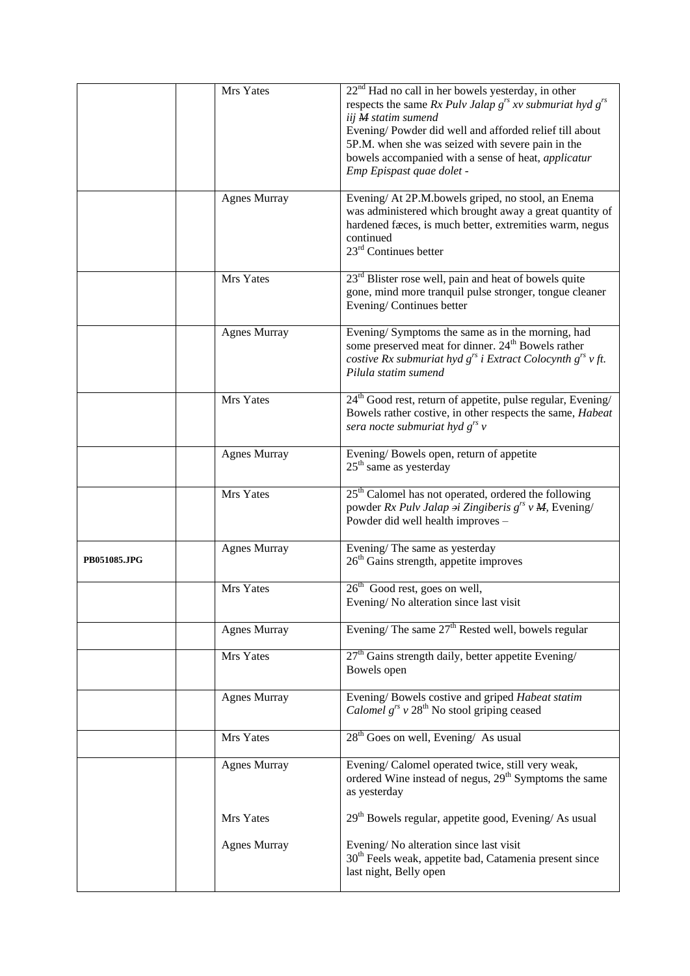|              | Mrs Yates           | $22nd$ Had no call in her bowels yesterday, in other<br>respects the same Rx Pulv Jalap $g^{rs}$ xv submuriat hyd $g^{rs}$<br>iij M statim sumend<br>Evening/Powder did well and afforded relief till about<br>5P.M. when she was seized with severe pain in the<br>bowels accompanied with a sense of heat, applicatur<br>Emp Epispast quae dolet - |
|--------------|---------------------|------------------------------------------------------------------------------------------------------------------------------------------------------------------------------------------------------------------------------------------------------------------------------------------------------------------------------------------------------|
|              | <b>Agnes Murray</b> | Evening/ At 2P.M.bowels griped, no stool, an Enema<br>was administered which brought away a great quantity of<br>hardened fæces, is much better, extremities warm, negus<br>continued<br>23 <sup>rd</sup> Continues better                                                                                                                           |
|              | Mrs Yates           | 23 <sup>rd</sup> Blister rose well, pain and heat of bowels quite<br>gone, mind more tranquil pulse stronger, tongue cleaner<br>Evening/Continues better                                                                                                                                                                                             |
|              | <b>Agnes Murray</b> | Evening/Symptoms the same as in the morning, had<br>some preserved meat for dinner. 24 <sup>th</sup> Bowels rather<br>costive Rx submuriat hyd $g^{rs}$ i Extract Colocynth $g^{rs}$ v ft.<br>Pilula statim sumend                                                                                                                                   |
|              | Mrs Yates           | 24 <sup>th</sup> Good rest, return of appetite, pulse regular, Evening/<br>Bowels rather costive, in other respects the same, Habeat<br>sera nocte submuriat hyd $g^{rs}$ v                                                                                                                                                                          |
|              | <b>Agnes Murray</b> | Evening/Bowels open, return of appetite<br>$25th$ same as yesterday                                                                                                                                                                                                                                                                                  |
|              | Mrs Yates           | $25th$ Calomel has not operated, ordered the following<br>powder Rx Pulv Jalap $\dot{\theta}$ Zingiberis $g^{rs} v M$ , Evening/<br>Powder did well health improves -                                                                                                                                                                                |
| PB051085.JPG | <b>Agnes Murray</b> | Evening/The same as yesterday<br>$26th$ Gains strength, appetite improves                                                                                                                                                                                                                                                                            |
|              | Mrs Yates           | $\overline{26^{th}}$ Good rest, goes on well,<br>Evening/No alteration since last visit                                                                                                                                                                                                                                                              |
|              | <b>Agnes Murray</b> | Evening/ The same $27th$ Rested well, bowels regular                                                                                                                                                                                                                                                                                                 |
|              | Mrs Yates           | $27th$ Gains strength daily, better appetite Evening/<br>Bowels open                                                                                                                                                                                                                                                                                 |
|              | <b>Agnes Murray</b> | Evening/Bowels costive and griped Habeat statim<br><i>Calomel</i> $g^{rs}$ v 28 <sup>th</sup> No stool griping ceased                                                                                                                                                                                                                                |
|              | Mrs Yates           | $28th$ Goes on well, Evening/ As usual                                                                                                                                                                                                                                                                                                               |
|              | <b>Agnes Murray</b> | Evening/ Calomel operated twice, still very weak,<br>ordered Wine instead of negus, 29 <sup>th</sup> Symptoms the same<br>as yesterday                                                                                                                                                                                                               |
|              | Mrs Yates           | 29 <sup>th</sup> Bowels regular, appetite good, Evening/As usual                                                                                                                                                                                                                                                                                     |
|              | <b>Agnes Murray</b> | Evening/No alteration since last visit<br>30 <sup>th</sup> Feels weak, appetite bad, Catamenia present since<br>last night, Belly open                                                                                                                                                                                                               |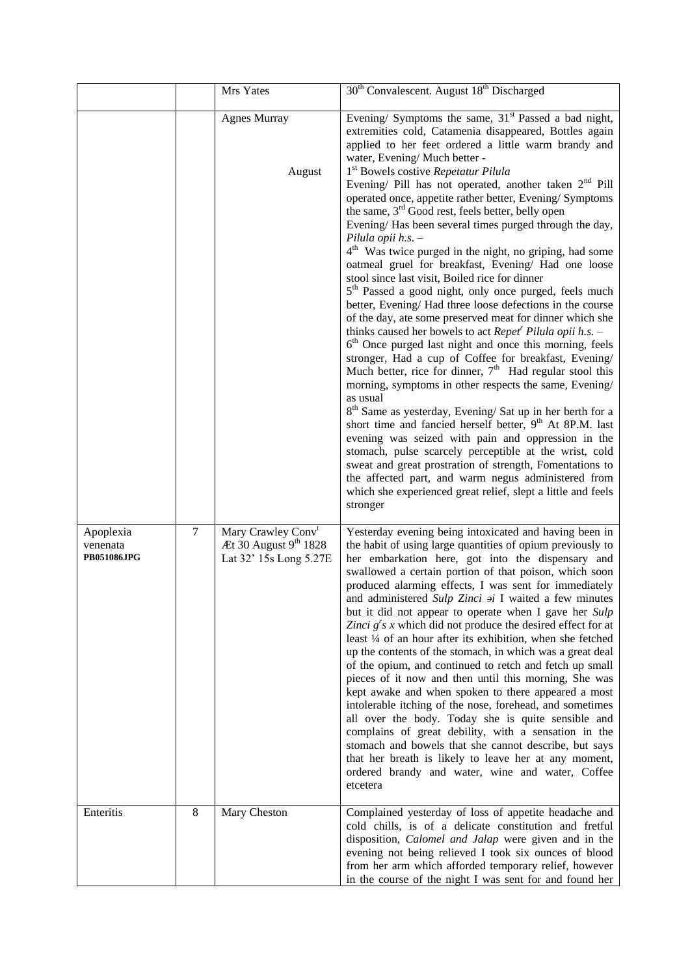|                                      |        | Mrs Yates                                                                         | 30 <sup>th</sup> Convalescent. August 18 <sup>th</sup> Discharged                                                                                                                                                                                                                                                                                                                                                                                                                                                                                                                                                                                                                                                                                                                                                                                                                                                                                                                                                                                                                                                                                                                                                                                                                                                                                                                                                                                                                                                                                                                                                                                                                                            |
|--------------------------------------|--------|-----------------------------------------------------------------------------------|--------------------------------------------------------------------------------------------------------------------------------------------------------------------------------------------------------------------------------------------------------------------------------------------------------------------------------------------------------------------------------------------------------------------------------------------------------------------------------------------------------------------------------------------------------------------------------------------------------------------------------------------------------------------------------------------------------------------------------------------------------------------------------------------------------------------------------------------------------------------------------------------------------------------------------------------------------------------------------------------------------------------------------------------------------------------------------------------------------------------------------------------------------------------------------------------------------------------------------------------------------------------------------------------------------------------------------------------------------------------------------------------------------------------------------------------------------------------------------------------------------------------------------------------------------------------------------------------------------------------------------------------------------------------------------------------------------------|
|                                      |        | <b>Agnes Murray</b><br>August                                                     | Evening/ Symptoms the same, $31st$ Passed a bad night,<br>extremities cold, Catamenia disappeared, Bottles again<br>applied to her feet ordered a little warm brandy and<br>water, Evening/Much better -<br>1 <sup>st</sup> Bowels costive Repetatur Pilula<br>Evening/ Pill has not operated, another taken $2nd$ Pill<br>operated once, appetite rather better, Evening/ Symptoms<br>the same, 3 <sup>rd</sup> Good rest, feels better, belly open<br>Evening/Has been several times purged through the day,<br>Pilula opii $h.s.$ -<br>4 <sup>th</sup> Was twice purged in the night, no griping, had some<br>oatmeal gruel for breakfast, Evening/ Had one loose<br>stool since last visit, Boiled rice for dinner<br>5 <sup>th</sup> Passed a good night, only once purged, feels much<br>better, Evening/Had three loose defections in the course<br>of the day, ate some preserved meat for dinner which she<br>thinks caused her bowels to act Repet <sup>r</sup> Pilula opii h.s. $-$<br>6 <sup>th</sup> Once purged last night and once this morning, feels<br>stronger, Had a cup of Coffee for breakfast, Evening/<br>Much better, rice for dinner, $7th$ Had regular stool this<br>morning, symptoms in other respects the same, Evening/<br>as usual<br>$8th$ Same as yesterday, Evening/ Sat up in her berth for a<br>short time and fancied herself better, 9 <sup>th</sup> At 8P.M. last<br>evening was seized with pain and oppression in the<br>stomach, pulse scarcely perceptible at the wrist, cold<br>sweat and great prostration of strength, Fomentations to<br>the affected part, and warm negus administered from<br>which she experienced great relief, slept a little and feels |
| Apoplexia<br>venenata<br>PB051086JPG | $\tau$ | Mary Crawley Conv <sup>t</sup><br>Æt 30 August 9th 1828<br>Lat 32' 15s Long 5.27E | stronger<br>Yesterday evening being intoxicated and having been in<br>the habit of using large quantities of opium previously to<br>her embarkation here, got into the dispensary and<br>swallowed a certain portion of that poison, which soon<br>produced alarming effects, I was sent for immediately<br>and administered Sulp Zinci $\dot{\theta}$ I waited a few minutes<br>but it did not appear to operate when I gave her Sulp<br>Zinci $g's x$ which did not produce the desired effect for at<br>least 1/4 of an hour after its exhibition, when she fetched<br>up the contents of the stomach, in which was a great deal<br>of the opium, and continued to retch and fetch up small<br>pieces of it now and then until this morning, She was<br>kept awake and when spoken to there appeared a most<br>intolerable itching of the nose, forehead, and sometimes<br>all over the body. Today she is quite sensible and<br>complains of great debility, with a sensation in the<br>stomach and bowels that she cannot describe, but says<br>that her breath is likely to leave her at any moment,<br>ordered brandy and water, wine and water, Coffee<br>etcetera                                                                                                                                                                                                                                                                                                                                                                                                                                                                                                                                   |
| Enteritis                            | 8      | Mary Cheston                                                                      | Complained yesterday of loss of appetite headache and<br>cold chills, is of a delicate constitution and fretful<br>disposition, Calomel and Jalap were given and in the<br>evening not being relieved I took six ounces of blood<br>from her arm which afforded temporary relief, however<br>in the course of the night I was sent for and found her                                                                                                                                                                                                                                                                                                                                                                                                                                                                                                                                                                                                                                                                                                                                                                                                                                                                                                                                                                                                                                                                                                                                                                                                                                                                                                                                                         |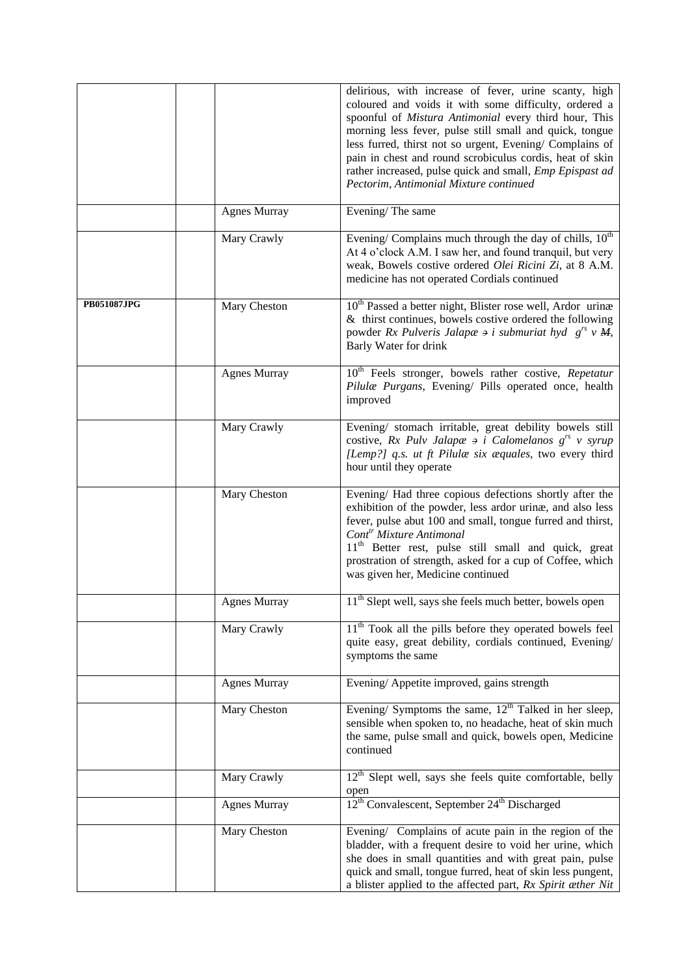|                    |                     | delirious, with increase of fever, urine scanty, high<br>coloured and voids it with some difficulty, ordered a<br>spoonful of Mistura Antimonial every third hour, This<br>morning less fever, pulse still small and quick, tongue<br>less furred, thirst not so urgent, Evening/ Complains of<br>pain in chest and round scrobiculus cordis, heat of skin<br>rather increased, pulse quick and small, <i>Emp Epispast ad</i><br>Pectorim, Antimonial Mixture continued |
|--------------------|---------------------|-------------------------------------------------------------------------------------------------------------------------------------------------------------------------------------------------------------------------------------------------------------------------------------------------------------------------------------------------------------------------------------------------------------------------------------------------------------------------|
|                    | <b>Agnes Murray</b> | Evening/The same                                                                                                                                                                                                                                                                                                                                                                                                                                                        |
|                    | Mary Crawly         | Evening/Complains much through the day of chills, $10^{th}$<br>At 4 o'clock A.M. I saw her, and found tranquil, but very<br>weak, Bowels costive ordered Olei Ricini Zi, at 8 A.M.<br>medicine has not operated Cordials continued                                                                                                                                                                                                                                      |
| <b>PB051087JPG</b> | Mary Cheston        | 10 <sup>th</sup> Passed a better night, Blister rose well, Ardor urinæ<br>& thirst continues, bowels costive ordered the following<br>powder Rx Pulveris Jalapæ $\Rightarrow$ i submuriat hyd $g^{rs} v M$ ,<br>Barly Water for drink                                                                                                                                                                                                                                   |
|                    | <b>Agnes Murray</b> | 10 <sup>th</sup> Feels stronger, bowels rather costive, Repetatur<br>Pilulæ Purgans, Evening/ Pills operated once, health<br>improved                                                                                                                                                                                                                                                                                                                                   |
|                    | Mary Crawly         | Evening/ stomach irritable, great debility bowels still<br>costive, Rx Pulv Jalapæ $\theta$ i Calomelanos $g^{rs}$ v syrup<br>[Lemp?] q.s. ut ft Pilulæ six æquales, two every third<br>hour until they operate                                                                                                                                                                                                                                                         |
|                    | Mary Cheston        | Evening/ Had three copious defections shortly after the<br>exhibition of the powder, less ardor urinæ, and also less<br>fever, pulse abut 100 and small, tongue furred and thirst,<br>Cont <sup>tr</sup> Mixture Antimonal<br>11 <sup>th</sup> Better rest, pulse still small and quick, great<br>prostration of strength, asked for a cup of Coffee, which<br>was given her, Medicine continued                                                                        |
|                    | <b>Agnes Murray</b> | 11 <sup>th</sup> Slept well, says she feels much better, bowels open                                                                                                                                                                                                                                                                                                                                                                                                    |
|                    | Mary Crawly         | 11 <sup>th</sup> Took all the pills before they operated bowels feel<br>quite easy, great debility, cordials continued, Evening/<br>symptoms the same                                                                                                                                                                                                                                                                                                                   |
|                    | <b>Agnes Murray</b> | Evening/Appetite improved, gains strength                                                                                                                                                                                                                                                                                                                                                                                                                               |
|                    | Mary Cheston        | Evening/ Symptoms the same, $12th$ Talked in her sleep,<br>sensible when spoken to, no headache, heat of skin much<br>the same, pulse small and quick, bowels open, Medicine<br>continued                                                                                                                                                                                                                                                                               |
|                    | Mary Crawly         | 12 <sup>th</sup> Slept well, says she feels quite comfortable, belly                                                                                                                                                                                                                                                                                                                                                                                                    |
|                    | <b>Agnes Murray</b> | open<br>$12th$ Convalescent, September 24 <sup>th</sup> Discharged                                                                                                                                                                                                                                                                                                                                                                                                      |
|                    | Mary Cheston        | Evening/ Complains of acute pain in the region of the<br>bladder, with a frequent desire to void her urine, which<br>she does in small quantities and with great pain, pulse<br>quick and small, tongue furred, heat of skin less pungent,<br>a blister applied to the affected part, Rx Spirit æther Nit                                                                                                                                                               |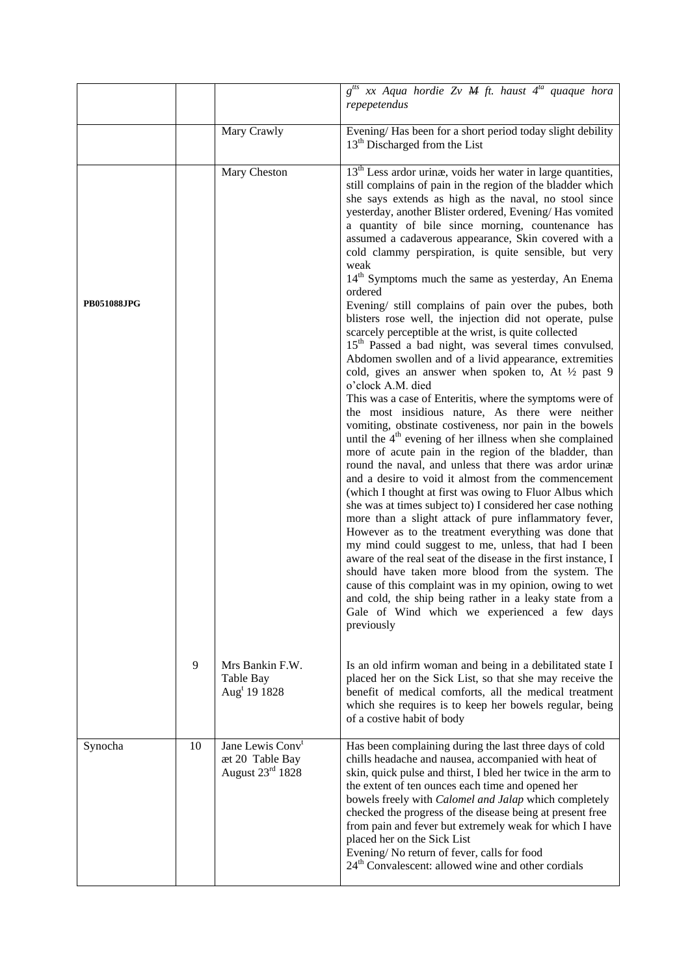|                    |    |                                                                                 | $g^{its}$ xx Aqua <i>hordie Zv M ft. haust</i> $4^{ta}$ <i>quaque hora</i><br>repepetendus                                                                                                                                                                                                                                                                                                                                                                                                                                                                                                                                                                                                                                                                                                                                                                                                                                                                                                                                                                                                                                                                                                                                                                                                                                                                                                                                                                                                                                                                                                                                                                                                                                                                                                                                                                                                                                                      |
|--------------------|----|---------------------------------------------------------------------------------|-------------------------------------------------------------------------------------------------------------------------------------------------------------------------------------------------------------------------------------------------------------------------------------------------------------------------------------------------------------------------------------------------------------------------------------------------------------------------------------------------------------------------------------------------------------------------------------------------------------------------------------------------------------------------------------------------------------------------------------------------------------------------------------------------------------------------------------------------------------------------------------------------------------------------------------------------------------------------------------------------------------------------------------------------------------------------------------------------------------------------------------------------------------------------------------------------------------------------------------------------------------------------------------------------------------------------------------------------------------------------------------------------------------------------------------------------------------------------------------------------------------------------------------------------------------------------------------------------------------------------------------------------------------------------------------------------------------------------------------------------------------------------------------------------------------------------------------------------------------------------------------------------------------------------------------------------|
|                    |    | Mary Crawly                                                                     | Evening/Has been for a short period today slight debility<br>$13th$ Discharged from the List                                                                                                                                                                                                                                                                                                                                                                                                                                                                                                                                                                                                                                                                                                                                                                                                                                                                                                                                                                                                                                                                                                                                                                                                                                                                                                                                                                                                                                                                                                                                                                                                                                                                                                                                                                                                                                                    |
| <b>PB051088JPG</b> |    | Mary Cheston                                                                    | $13th$ Less ardor urinæ, voids her water in large quantities,<br>still complains of pain in the region of the bladder which<br>she says extends as high as the naval, no stool since<br>yesterday, another Blister ordered, Evening/Has vomited<br>a quantity of bile since morning, countenance has<br>assumed a cadaverous appearance, Skin covered with a<br>cold clammy perspiration, is quite sensible, but very<br>weak<br>14 <sup>th</sup> Symptoms much the same as yesterday, An Enema<br>ordered<br>Evening/ still complains of pain over the pubes, both<br>blisters rose well, the injection did not operate, pulse<br>scarcely perceptible at the wrist, is quite collected<br>15 <sup>th</sup> Passed a bad night, was several times convulsed,<br>Abdomen swollen and of a livid appearance, extremities<br>cold, gives an answer when spoken to, At 1/2 past 9<br>o'clock A.M. died<br>This was a case of Enteritis, where the symptoms were of<br>the most insidious nature, As there were neither<br>vomiting, obstinate costiveness, nor pain in the bowels<br>until the 4 <sup>th</sup> evening of her illness when she complained<br>more of acute pain in the region of the bladder, than<br>round the naval, and unless that there was ardor urinæ<br>and a desire to void it almost from the commencement<br>(which I thought at first was owing to Fluor Albus which<br>she was at times subject to) I considered her case nothing<br>more than a slight attack of pure inflammatory fever,<br>However as to the treatment everything was done that<br>my mind could suggest to me, unless, that had I been<br>aware of the real seat of the disease in the first instance, I<br>should have taken more blood from the system. The<br>cause of this complaint was in my opinion, owing to wet<br>and cold, the ship being rather in a leaky state from a<br>Gale of Wind which we experienced a few days<br>previously |
|                    | 9  | Mrs Bankin F.W.<br>Table Bay<br>Aug <sup>t</sup> 19 1828                        | Is an old infirm woman and being in a debilitated state I<br>placed her on the Sick List, so that she may receive the<br>benefit of medical comforts, all the medical treatment<br>which she requires is to keep her bowels regular, being<br>of a costive habit of body                                                                                                                                                                                                                                                                                                                                                                                                                                                                                                                                                                                                                                                                                                                                                                                                                                                                                                                                                                                                                                                                                                                                                                                                                                                                                                                                                                                                                                                                                                                                                                                                                                                                        |
| Synocha            | 10 | Jane Lewis Conv <sup>t</sup><br>æt 20 Table Bay<br>August $23^{\text{rd}}$ 1828 | Has been complaining during the last three days of cold<br>chills headache and nausea, accompanied with heat of<br>skin, quick pulse and thirst, I bled her twice in the arm to<br>the extent of ten ounces each time and opened her<br>bowels freely with Calomel and Jalap which completely<br>checked the progress of the disease being at present free<br>from pain and fever but extremely weak for which I have<br>placed her on the Sick List<br>Evening/No return of fever, calls for food<br>24 <sup>th</sup> Convalescent: allowed wine and other cordials                                                                                                                                                                                                                                                                                                                                                                                                                                                                                                                                                                                                                                                                                                                                                                                                                                                                                                                                                                                                                                                                                                                                                                                                                                                                                                                                                                            |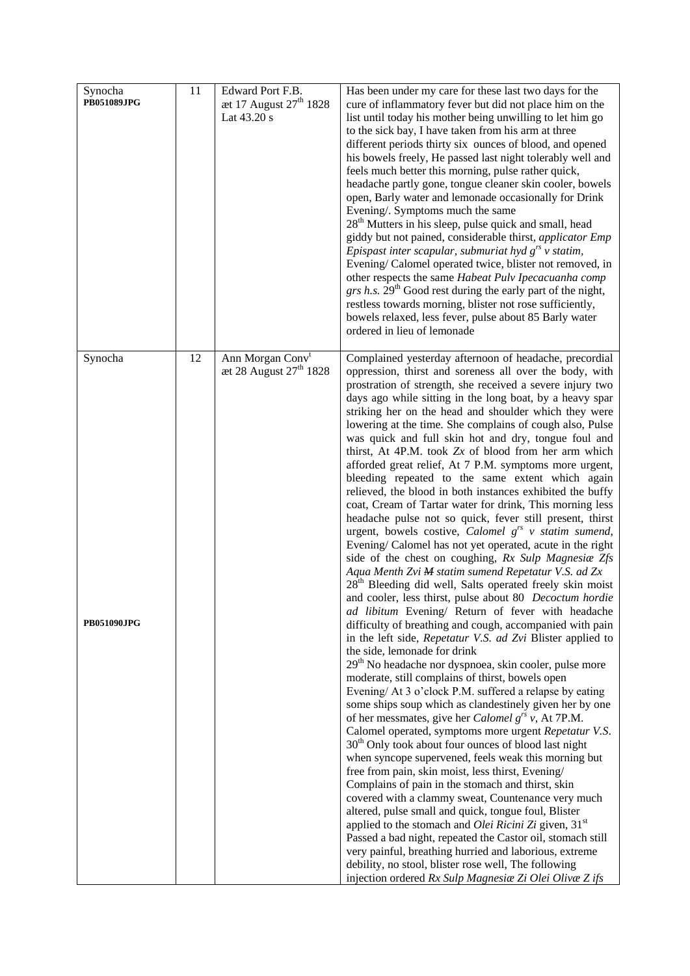| Synocha<br>PB051089JPG        | 11 | Edward Port F.B.<br>æt 17 August $27^{\text{th}}$ 1828<br>Lat 43.20 s | Has been under my care for these last two days for the<br>cure of inflammatory fever but did not place him on the<br>list until today his mother being unwilling to let him go<br>to the sick bay, I have taken from his arm at three<br>different periods thirty six ounces of blood, and opened<br>his bowels freely, He passed last night tolerably well and<br>feels much better this morning, pulse rather quick,<br>headache partly gone, tongue cleaner skin cooler, bowels<br>open, Barly water and lemonade occasionally for Drink<br>Evening/. Symptoms much the same<br>28 <sup>th</sup> Mutters in his sleep, pulse quick and small, head<br>giddy but not pained, considerable thirst, applicator Emp<br>Epispast inter scapular, submuriat hyd $g^{rs}$ v statim,<br>Evening/Calomel operated twice, blister not removed, in<br>other respects the same Habeat Pulv Ipecacuanha comp<br>grs h.s. 29 <sup>th</sup> Good rest during the early part of the night,<br>restless towards morning, blister not rose sufficiently,<br>bowels relaxed, less fever, pulse about 85 Barly water<br>ordered in lieu of lemonade                                                                                                                                                                                                                                                                                                                                                                                                                                                                                                                                                                                                                                                                                                                                                                                                                                                                                                                                                                                                                                                                                                                                                                                                                                                                    |
|-------------------------------|----|-----------------------------------------------------------------------|-------------------------------------------------------------------------------------------------------------------------------------------------------------------------------------------------------------------------------------------------------------------------------------------------------------------------------------------------------------------------------------------------------------------------------------------------------------------------------------------------------------------------------------------------------------------------------------------------------------------------------------------------------------------------------------------------------------------------------------------------------------------------------------------------------------------------------------------------------------------------------------------------------------------------------------------------------------------------------------------------------------------------------------------------------------------------------------------------------------------------------------------------------------------------------------------------------------------------------------------------------------------------------------------------------------------------------------------------------------------------------------------------------------------------------------------------------------------------------------------------------------------------------------------------------------------------------------------------------------------------------------------------------------------------------------------------------------------------------------------------------------------------------------------------------------------------------------------------------------------------------------------------------------------------------------------------------------------------------------------------------------------------------------------------------------------------------------------------------------------------------------------------------------------------------------------------------------------------------------------------------------------------------------------------------------------------------------------------------------------------------------------------------|
| Synocha<br><b>PB051090JPG</b> | 12 | Ann Morgan Conv <sup>t</sup><br>æt 28 August 27 <sup>th</sup> 1828    | Complained yesterday afternoon of headache, precordial<br>oppression, thirst and soreness all over the body, with<br>prostration of strength, she received a severe injury two<br>days ago while sitting in the long boat, by a heavy spar<br>striking her on the head and shoulder which they were<br>lowering at the time. She complains of cough also, Pulse<br>was quick and full skin hot and dry, tongue foul and<br>thirst, At 4P.M. took Zx of blood from her arm which<br>afforded great relief, At 7 P.M. symptoms more urgent,<br>bleeding repeated to the same extent which again<br>relieved, the blood in both instances exhibited the buffy<br>coat, Cream of Tartar water for drink, This morning less<br>headache pulse not so quick, fever still present, thirst<br>urgent, bowels costive, Calomel $g^{rs}$ v statim sumend,<br>Evening/ Calomel has not yet operated, acute in the right<br>side of the chest on coughing, Rx Sulp Magnesia Zfs<br>Aqua Menth Zvi M statim sumend Repetatur V.S. ad Zx<br>28 <sup>th</sup> Bleeding did well, Salts operated freely skin moist<br>and cooler, less thirst, pulse about 80 Decoctum hordie<br>ad libitum Evening/ Return of fever with headache<br>difficulty of breathing and cough, accompanied with pain<br>in the left side, Repetatur V.S. ad Zvi Blister applied to<br>the side, lemonade for drink<br>29 <sup>th</sup> No headache nor dyspnoea, skin cooler, pulse more<br>moderate, still complains of thirst, bowels open<br>Evening/ At 3 o'clock P.M. suffered a relapse by eating<br>some ships soup which as clandestinely given her by one<br>of her messmates, give her Calomel $g^{rs}$ v, At 7P.M.<br>Calomel operated, symptoms more urgent Repetatur V.S.<br>$30th$ Only took about four ounces of blood last night<br>when syncope supervened, feels weak this morning but<br>free from pain, skin moist, less thirst, Evening/<br>Complains of pain in the stomach and thirst, skin<br>covered with a clammy sweat, Countenance very much<br>altered, pulse small and quick, tongue foul, Blister<br>applied to the stomach and <i>Olei Ricini Zi</i> given, $31st$<br>Passed a bad night, repeated the Castor oil, stomach still<br>very painful, breathing hurried and laborious, extreme<br>debility, no stool, blister rose well, The following<br>injection ordered Rx Sulp Magnesia Zi Olei Oliva Zifs |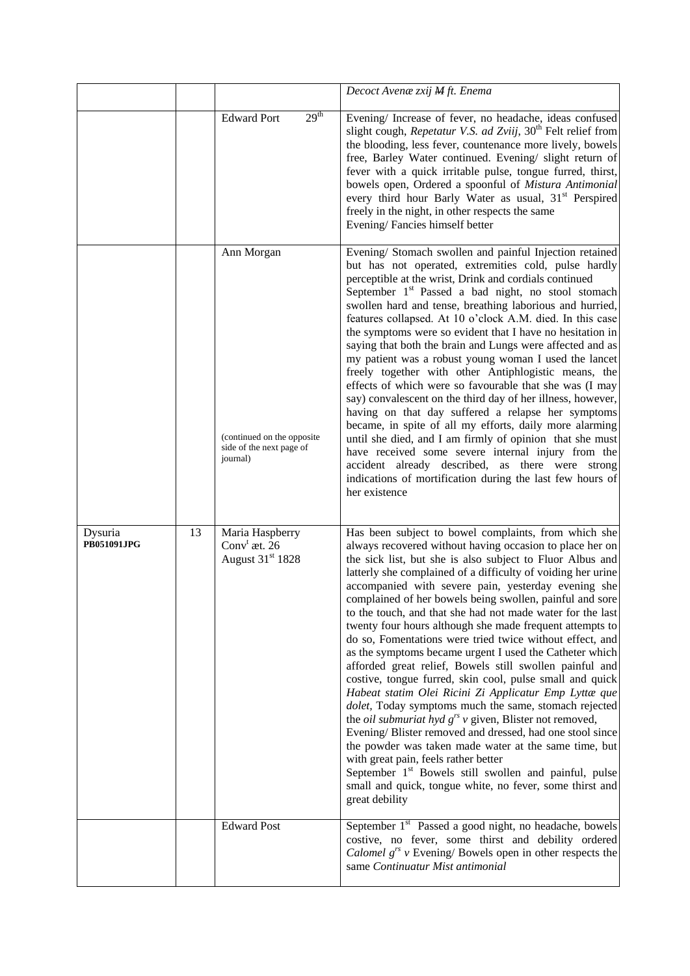|                        |    |                                                                                  | Decoct Avenae zxij M ft. Enema                                                                                                                                                                                                                                                                                                                                                                                                                                                                                                                                                                                                                                                                                                                                                                                                                                                                                                                                                                                                                                                                                                                                                                                                                    |  |  |  |
|------------------------|----|----------------------------------------------------------------------------------|---------------------------------------------------------------------------------------------------------------------------------------------------------------------------------------------------------------------------------------------------------------------------------------------------------------------------------------------------------------------------------------------------------------------------------------------------------------------------------------------------------------------------------------------------------------------------------------------------------------------------------------------------------------------------------------------------------------------------------------------------------------------------------------------------------------------------------------------------------------------------------------------------------------------------------------------------------------------------------------------------------------------------------------------------------------------------------------------------------------------------------------------------------------------------------------------------------------------------------------------------|--|--|--|
|                        |    | 29 <sup>th</sup><br><b>Edward Port</b>                                           | Evening/ Increase of fever, no headache, ideas confused<br>slight cough, Repetatur V.S. ad Zviij, 30 <sup>th</sup> Felt relief from<br>the blooding, less fever, countenance more lively, bowels<br>free, Barley Water continued. Evening/ slight return of<br>fever with a quick irritable pulse, tongue furred, thirst,<br>bowels open, Ordered a spoonful of Mistura Antimonial<br>every third hour Barly Water as usual, 31 <sup>st</sup> Perspired<br>freely in the night, in other respects the same<br>Evening/Fancies himself better                                                                                                                                                                                                                                                                                                                                                                                                                                                                                                                                                                                                                                                                                                      |  |  |  |
|                        |    | Ann Morgan<br>(continued on the opposite<br>side of the next page of<br>journal) | Evening/ Stomach swollen and painful Injection retained<br>but has not operated, extremities cold, pulse hardly<br>perceptible at the wrist, Drink and cordials continued<br>September 1 <sup>st</sup> Passed a bad night, no stool stomach<br>swollen hard and tense, breathing laborious and hurried,<br>features collapsed. At 10 o'clock A.M. died. In this case<br>the symptoms were so evident that I have no hesitation in<br>saying that both the brain and Lungs were affected and as<br>my patient was a robust young woman I used the lancet<br>freely together with other Antiphlogistic means, the<br>effects of which were so favourable that she was (I may<br>say) convalescent on the third day of her illness, however,<br>having on that day suffered a relapse her symptoms<br>became, in spite of all my efforts, daily more alarming<br>until she died, and I am firmly of opinion that she must<br>have received some severe internal injury from the<br>accident already described, as there were strong<br>indications of mortification during the last few hours of<br>her existence                                                                                                                                    |  |  |  |
| Dysuria<br>PB051091JPG | 13 | Maria Haspberry<br>Conv $^t$ æt. 26<br>August 31 <sup>st</sup> 1828              | Has been subject to bowel complaints, from which she<br>always recovered without having occasion to place her on<br>the sick list, but she is also subject to Fluor Albus and<br>latterly she complained of a difficulty of voiding her urine<br>accompanied with severe pain, yesterday evening she<br>complained of her bowels being swollen, painful and sore<br>to the touch, and that she had not made water for the last<br>twenty four hours although she made frequent attempts to<br>do so, Fomentations were tried twice without effect, and<br>as the symptoms became urgent I used the Catheter which<br>afforded great relief, Bowels still swollen painful and<br>costive, tongue furred, skin cool, pulse small and quick<br>Habeat statim Olei Ricini Zi Applicatur Emp Lyttæ que<br>dolet, Today symptoms much the same, stomach rejected<br>the <i>oil submuriat hyd</i> $g^{rs}$ v given, Blister not removed,<br>Evening/Blister removed and dressed, had one stool since<br>the powder was taken made water at the same time, but<br>with great pain, feels rather better<br>September 1 <sup>st</sup> Bowels still swollen and painful, pulse<br>small and quick, tongue white, no fever, some thirst and<br>great debility |  |  |  |
|                        |    | <b>Edward Post</b>                                                               | September 1 <sup>st</sup> Passed a good night, no headache, bowels<br>costive, no fever, some thirst and debility ordered<br><i>Calomel</i> $g^{rs}$ v Evening/ Bowels open in other respects the<br>same Continuatur Mist antimonial                                                                                                                                                                                                                                                                                                                                                                                                                                                                                                                                                                                                                                                                                                                                                                                                                                                                                                                                                                                                             |  |  |  |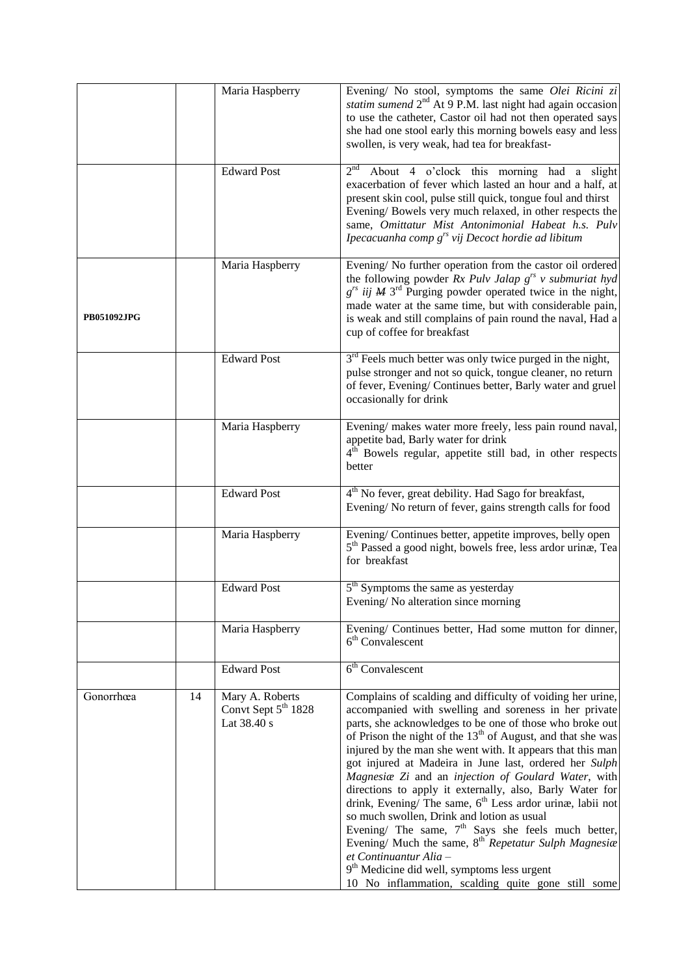|                    |    | Maria Haspberry                                                   | Evening/ No stool, symptoms the same Olei Ricini zi<br>statim sumend 2 <sup>nd</sup> At 9 P.M. last night had again occasion<br>to use the catheter, Castor oil had not then operated says<br>she had one stool early this morning bowels easy and less<br>swollen, is very weak, had tea for breakfast-                                                                                                                                                                                                                                                                                                                                                                                                                                                                                                                                                                                  |
|--------------------|----|-------------------------------------------------------------------|-------------------------------------------------------------------------------------------------------------------------------------------------------------------------------------------------------------------------------------------------------------------------------------------------------------------------------------------------------------------------------------------------------------------------------------------------------------------------------------------------------------------------------------------------------------------------------------------------------------------------------------------------------------------------------------------------------------------------------------------------------------------------------------------------------------------------------------------------------------------------------------------|
|                    |    | <b>Edward Post</b>                                                | About 4 o'clock this morning had a slight<br>2 <sup>nd</sup><br>exacerbation of fever which lasted an hour and a half, at<br>present skin cool, pulse still quick, tongue foul and thirst<br>Evening/Bowels very much relaxed, in other respects the<br>same, Omittatur Mist Antonimonial Habeat h.s. Pulv<br>Ipecacuanha comp $g^{rs}$ vij Decoct hordie ad libitum                                                                                                                                                                                                                                                                                                                                                                                                                                                                                                                      |
| <b>PB051092JPG</b> |    | Maria Haspberry                                                   | Evening/No further operation from the castor oil ordered<br>the following powder Rx Pulv Jalap $g^{rs}$ v submuriat hyd<br>$g^{rs}$ iij $M$ 3 <sup>rd</sup> Purging powder operated twice in the night,<br>made water at the same time, but with considerable pain,<br>is weak and still complains of pain round the naval, Had a<br>cup of coffee for breakfast                                                                                                                                                                                                                                                                                                                                                                                                                                                                                                                          |
|                    |    | <b>Edward Post</b>                                                | $3rd$ Feels much better was only twice purged in the night,<br>pulse stronger and not so quick, tongue cleaner, no return<br>of fever, Evening/Continues better, Barly water and gruel<br>occasionally for drink                                                                                                                                                                                                                                                                                                                                                                                                                                                                                                                                                                                                                                                                          |
|                    |    | Maria Haspberry                                                   | Evening/ makes water more freely, less pain round naval,<br>appetite bad, Barly water for drink<br>4 <sup>th</sup> Bowels regular, appetite still bad, in other respects<br>better                                                                                                                                                                                                                                                                                                                                                                                                                                                                                                                                                                                                                                                                                                        |
|                    |    | <b>Edward Post</b>                                                | 4 <sup>th</sup> No fever, great debility. Had Sago for breakfast,<br>Evening/No return of fever, gains strength calls for food                                                                                                                                                                                                                                                                                                                                                                                                                                                                                                                                                                                                                                                                                                                                                            |
|                    |    | Maria Haspberry                                                   | Evening/Continues better, appetite improves, belly open<br>5 <sup>th</sup> Passed a good night, bowels free, less ardor urinæ, Tea<br>for breakfast                                                                                                                                                                                                                                                                                                                                                                                                                                                                                                                                                                                                                                                                                                                                       |
|                    |    | <b>Edward Post</b>                                                | 5 <sup>th</sup> Symptoms the same as yesterday<br>Evening/No alteration since morning                                                                                                                                                                                                                                                                                                                                                                                                                                                                                                                                                                                                                                                                                                                                                                                                     |
|                    |    | Maria Haspberry                                                   | Evening/ Continues better, Had some mutton for dinner,<br>$6th$ Convalescent                                                                                                                                                                                                                                                                                                                                                                                                                                                                                                                                                                                                                                                                                                                                                                                                              |
|                    |    | <b>Edward Post</b>                                                | 6 <sup>th</sup> Convalescent                                                                                                                                                                                                                                                                                                                                                                                                                                                                                                                                                                                                                                                                                                                                                                                                                                                              |
| Gonorrhœa          | 14 | Mary A. Roberts<br>Convt Sept 5 <sup>th</sup> 1828<br>Lat 38.40 s | Complains of scalding and difficulty of voiding her urine,<br>accompanied with swelling and soreness in her private<br>parts, she acknowledges to be one of those who broke out<br>of Prison the night of the $13th$ of August, and that she was<br>injured by the man she went with. It appears that this man<br>got injured at Madeira in June last, ordered her Sulph<br>Magnesia Zi and an injection of Goulard Water, with<br>directions to apply it externally, also, Barly Water for<br>drink, Evening/ The same, 6 <sup>th</sup> Less ardor urinæ, labii not<br>so much swollen, Drink and lotion as usual<br>Evening/ The same, $7th$ Says she feels much better,<br>Evening/ Much the same, 8 <sup>th</sup> Repetatur Sulph Magnesia<br>et Continuantur Alia -<br>9 <sup>th</sup> Medicine did well, symptoms less urgent<br>10 No inflammation, scalding quite gone still some |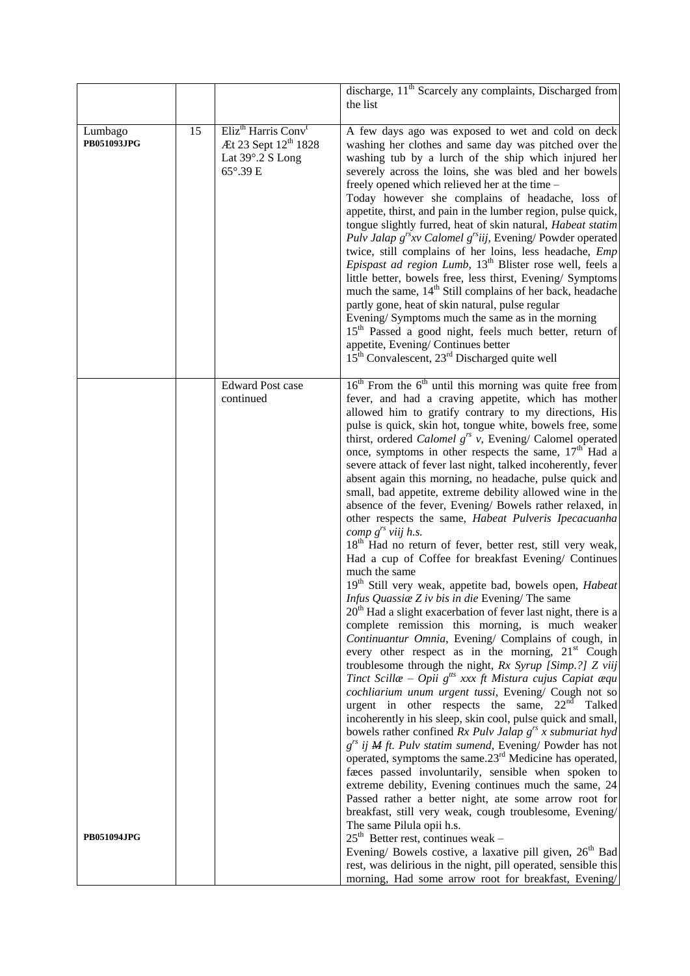|                        |    |                                                                                                                 | discharge, $11th$ Scarcely any complaints, Discharged from<br>the list                                                                                                                                                                                                                                                                                                                                                                                                                                                                                                                                                                                                                                                                                                                                                                                                                                                                                                                                                                                                                                                                                                                                                                                                                                                                                                                                                                                                                                                                                                                                                                                                                                                                                                                                                                                                                                                                                                                                                                                                                                                                                                                                                                                                           |
|------------------------|----|-----------------------------------------------------------------------------------------------------------------|----------------------------------------------------------------------------------------------------------------------------------------------------------------------------------------------------------------------------------------------------------------------------------------------------------------------------------------------------------------------------------------------------------------------------------------------------------------------------------------------------------------------------------------------------------------------------------------------------------------------------------------------------------------------------------------------------------------------------------------------------------------------------------------------------------------------------------------------------------------------------------------------------------------------------------------------------------------------------------------------------------------------------------------------------------------------------------------------------------------------------------------------------------------------------------------------------------------------------------------------------------------------------------------------------------------------------------------------------------------------------------------------------------------------------------------------------------------------------------------------------------------------------------------------------------------------------------------------------------------------------------------------------------------------------------------------------------------------------------------------------------------------------------------------------------------------------------------------------------------------------------------------------------------------------------------------------------------------------------------------------------------------------------------------------------------------------------------------------------------------------------------------------------------------------------------------------------------------------------------------------------------------------------|
| Lumbago<br>PB051093JPG | 15 | Eliz <sup>th</sup> Harris Conv <sup>t</sup><br>Æt 23 Sept 12 <sup>th</sup> 1828<br>Lat 39°.2 S Long<br>65°.39 E | A few days ago was exposed to wet and cold on deck<br>washing her clothes and same day was pitched over the<br>washing tub by a lurch of the ship which injured her<br>severely across the loins, she was bled and her bowels<br>freely opened which relieved her at the time -<br>Today however she complains of headache, loss of<br>appetite, thirst, and pain in the lumber region, pulse quick,<br>tongue slightly furred, heat of skin natural, Habeat statim<br>Pulv Jalap $g^{rs}xy$ Calomel $g^{rs}iii$ , Evening/Powder operated<br>twice, still complains of her loins, less headache, Emp<br><i>Epispast ad region Lumb</i> , 13 <sup>th</sup> Blister rose well, feels a<br>little better, bowels free, less thirst, Evening/ Symptoms<br>much the same, 14 <sup>th</sup> Still complains of her back, headache<br>partly gone, heat of skin natural, pulse regular<br>Evening/Symptoms much the same as in the morning<br>15 <sup>th</sup> Passed a good night, feels much better, return of<br>appetite, Evening/Continues better<br>15 <sup>th</sup> Convalescent, 23 <sup>rd</sup> Discharged quite well                                                                                                                                                                                                                                                                                                                                                                                                                                                                                                                                                                                                                                                                                                                                                                                                                                                                                                                                                                                                                                                                                                                                                        |
| <b>PB051094JPG</b>     |    | <b>Edward Post case</b><br>continued                                                                            | $16th$ From the $6th$ until this morning was quite free from<br>fever, and had a craving appetite, which has mother<br>allowed him to gratify contrary to my directions, His<br>pulse is quick, skin hot, tongue white, bowels free, some<br>thirst, ordered <i>Calomel</i> $g^{rs}$ v, Evening/ Calomel operated<br>once, symptoms in other respects the same, $17th$ Had a<br>severe attack of fever last night, talked incoherently, fever<br>absent again this morning, no headache, pulse quick and<br>small, bad appetite, extreme debility allowed wine in the<br>absence of the fever, Evening/ Bowels rather relaxed, in<br>other respects the same, Habeat Pulveris Ipecacuanha<br>comp $g^{rs}$ viij h.s.<br>18 <sup>th</sup> Had no return of fever, better rest, still very weak,<br>Had a cup of Coffee for breakfast Evening/ Continues<br>much the same<br>19 <sup>th</sup> Still very weak, appetite bad, bowels open, <i>Habeat</i><br>Infus Quassiae Z iv bis in die Evening/ The same<br>$20th$ Had a slight exacerbation of fever last night, there is a<br>complete remission this morning, is much weaker<br>Continuantur Omnia, Evening/ Complains of cough, in<br>every other respect as in the morning, $21st$ Cough<br>troublesome through the night, Rx Syrup [Simp.?] Z viij<br>Tinct Scillae – Opii $g^{tts}$ xxx ft Mistura cujus Capiat æqu<br>cochliarium unum urgent tussi, Evening/ Cough not so<br>urgent in other respects the same, $22nd$<br>Talked<br>incoherently in his sleep, skin cool, pulse quick and small,<br>bowels rather confined $Rx$ Pulv Jalap $g^{rs}$ x submuriat hyd<br>$g^{rs}$ ij M ft. Pulv statim sumend, Evening/ Powder has not<br>operated, symptoms the same.23 <sup>rd</sup> Medicine has operated,<br>faces passed involuntarily, sensible when spoken to<br>extreme debility, Evening continues much the same, 24<br>Passed rather a better night, ate some arrow root for<br>breakfast, still very weak, cough troublesome, Evening/<br>The same Pilula opii h.s.<br>$25th$ Better rest, continues weak –<br>Evening/ Bowels costive, a laxative pill given, 26 <sup>th</sup> Bad<br>rest, was delirious in the night, pill operated, sensible this<br>morning, Had some arrow root for breakfast, Evening/ |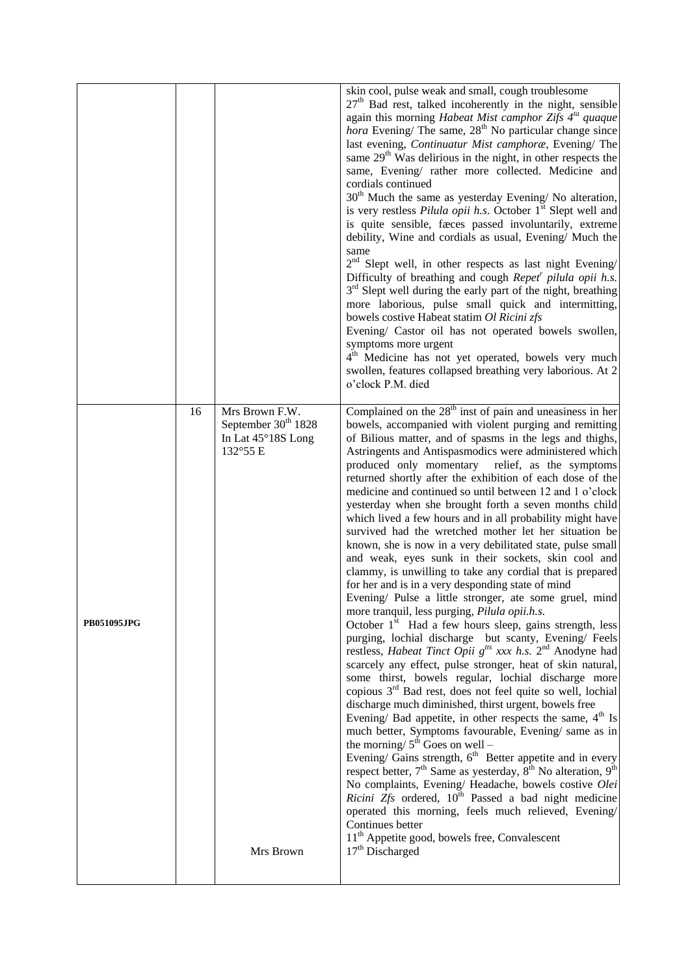|                    |    |                                                                                                  | skin cool, pulse weak and small, cough troublesome<br>$27th$ Bad rest, talked incoherently in the night, sensible<br>again this morning Habeat Mist camphor Zifs 4 <sup>ta</sup> quaque<br><i>hora</i> Evening/ The same, $28th$ No particular change since<br>last evening, Continuatur Mist camphoræ, Evening/ The<br>same $29th$ Was delirious in the night, in other respects the<br>same, Evening/ rather more collected. Medicine and<br>cordials continued<br>30 <sup>th</sup> Much the same as yesterday Evening/No alteration,<br>is very restless Pilula opii h.s. October 1 <sup>st</sup> Slept well and<br>is quite sensible, faces passed involuntarily, extreme<br>debility, Wine and cordials as usual, Evening/ Much the<br>same<br>2 <sup>nd</sup> Slept well, in other respects as last night Evening/<br>Difficulty of breathing and cough Repet <sup>r</sup> pilula opii h.s.<br>3 <sup>rd</sup> Slept well during the early part of the night, breathing<br>more laborious, pulse small quick and intermitting,<br>bowels costive Habeat statim Ol Ricini zfs<br>Evening/ Castor oil has not operated bowels swollen,<br>symptoms more urgent<br>4 <sup>th</sup> Medicine has not yet operated, bowels very much<br>swollen, features collapsed breathing very laborious. At 2<br>o'clock P.M. died                                                                                                                                                                                                                                                                                                                                                                                                                                                                                                                                                                                                                                                                                                                        |
|--------------------|----|--------------------------------------------------------------------------------------------------|-------------------------------------------------------------------------------------------------------------------------------------------------------------------------------------------------------------------------------------------------------------------------------------------------------------------------------------------------------------------------------------------------------------------------------------------------------------------------------------------------------------------------------------------------------------------------------------------------------------------------------------------------------------------------------------------------------------------------------------------------------------------------------------------------------------------------------------------------------------------------------------------------------------------------------------------------------------------------------------------------------------------------------------------------------------------------------------------------------------------------------------------------------------------------------------------------------------------------------------------------------------------------------------------------------------------------------------------------------------------------------------------------------------------------------------------------------------------------------------------------------------------------------------------------------------------------------------------------------------------------------------------------------------------------------------------------------------------------------------------------------------------------------------------------------------------------------------------------------------------------------------------------------------------------------------------------------------------------------------------------------------------------------------------------|
| <b>PB051095JPG</b> | 16 | Mrs Brown F.W.<br>September 30 <sup>th</sup> 1828<br>In Lat 45°18S Long<br>132°55 E<br>Mrs Brown | Complained on the $28th$ inst of pain and uneasiness in her<br>bowels, accompanied with violent purging and remitting<br>of Bilious matter, and of spasms in the legs and thighs,<br>Astringents and Antispasmodics were administered which<br>produced only momentary relief, as the symptoms<br>returned shortly after the exhibition of each dose of the<br>medicine and continued so until between 12 and 1 o'clock<br>yesterday when she brought forth a seven months child<br>which lived a few hours and in all probability might have<br>survived had the wretched mother let her situation be<br>known, she is now in a very debilitated state, pulse small<br>and weak, eyes sunk in their sockets, skin cool and<br>clammy, is unwilling to take any cordial that is prepared<br>for her and is in a very desponding state of mind<br>Evening/ Pulse a little stronger, ate some gruel, mind<br>more tranquil, less purging, Pilula opii.h.s.<br>October $1st$ Had a few hours sleep, gains strength, less<br>purging, lochial discharge but scanty, Evening/ Feels<br>restless, <i>Habeat Tinct Opii</i> $g^{its}$ xxx <i>h.s.</i> $2^{nd}$ Anodyne had<br>scarcely any effect, pulse stronger, heat of skin natural,<br>some thirst, bowels regular, lochial discharge more<br>copious 3 <sup>rd</sup> Bad rest, does not feel quite so well, lochial<br>discharge much diminished, thirst urgent, bowels free<br>Evening/ Bad appetite, in other respects the same, $4th$ Is<br>much better, Symptoms favourable, Evening/same as in<br>the morning/ $5^{th}$ Goes on well –<br>Evening/ Gains strength, 6 <sup>th</sup> Better appetite and in every<br>respect better, $7th$ Same as yesterday, $8th$ No alteration, $9th$<br>No complaints, Evening/ Headache, bowels costive Olei<br>Ricini Zfs ordered, 10 <sup>th</sup> Passed a bad night medicine<br>operated this morning, feels much relieved, Evening/<br>Continues better<br>11 <sup>th</sup> Appetite good, bowels free, Convalescent<br>17 <sup>th</sup> Discharged |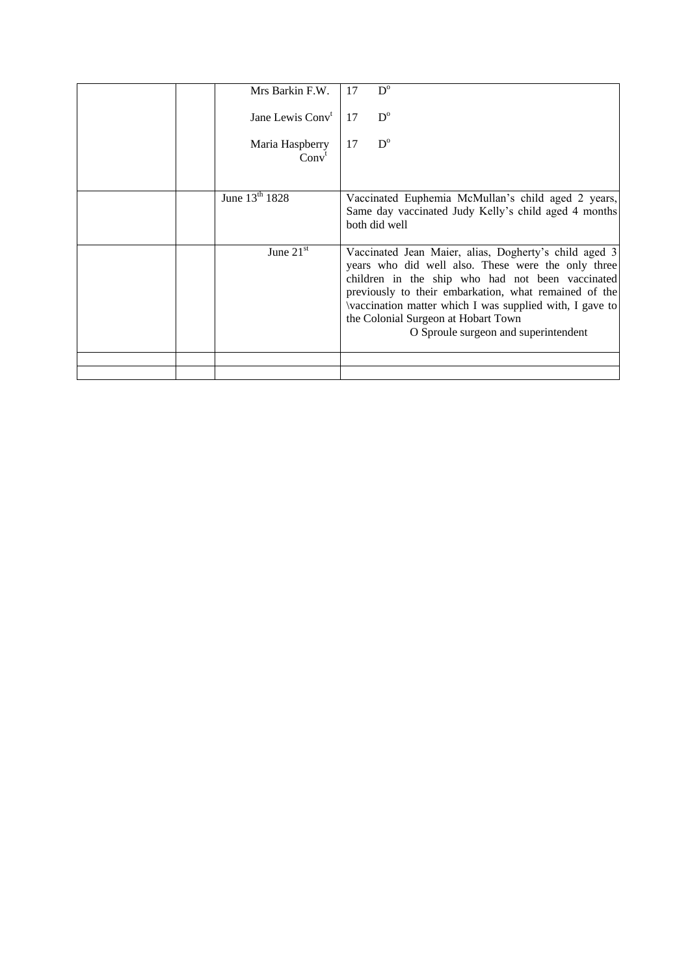|  | Mrs Barkin F.W.                      | 17 | $D^{\circ}$                                                                                                                                                                                                                                                                                                                                                        |
|--|--------------------------------------|----|--------------------------------------------------------------------------------------------------------------------------------------------------------------------------------------------------------------------------------------------------------------------------------------------------------------------------------------------------------------------|
|  | Jane Lewis Conv <sup>t</sup>         | 17 | $D^{\circ}$                                                                                                                                                                                                                                                                                                                                                        |
|  | Maria Haspberry<br>Conv <sup>t</sup> | 17 | $D^{\circ}$                                                                                                                                                                                                                                                                                                                                                        |
|  | June 13 <sup>th</sup> 1828           |    | Vaccinated Euphemia McMullan's child aged 2 years,                                                                                                                                                                                                                                                                                                                 |
|  |                                      |    | Same day vaccinated Judy Kelly's child aged 4 months<br>both did well                                                                                                                                                                                                                                                                                              |
|  | June $21st$                          |    | Vaccinated Jean Maier, alias, Dogherty's child aged 3<br>years who did well also. These were the only three<br>children in the ship who had not been vaccinated<br>previously to their embarkation, what remained of the<br>vaccination matter which I was supplied with, I gave to<br>the Colonial Surgeon at Hobart Town<br>O Sproule surgeon and superintendent |
|  |                                      |    |                                                                                                                                                                                                                                                                                                                                                                    |
|  |                                      |    |                                                                                                                                                                                                                                                                                                                                                                    |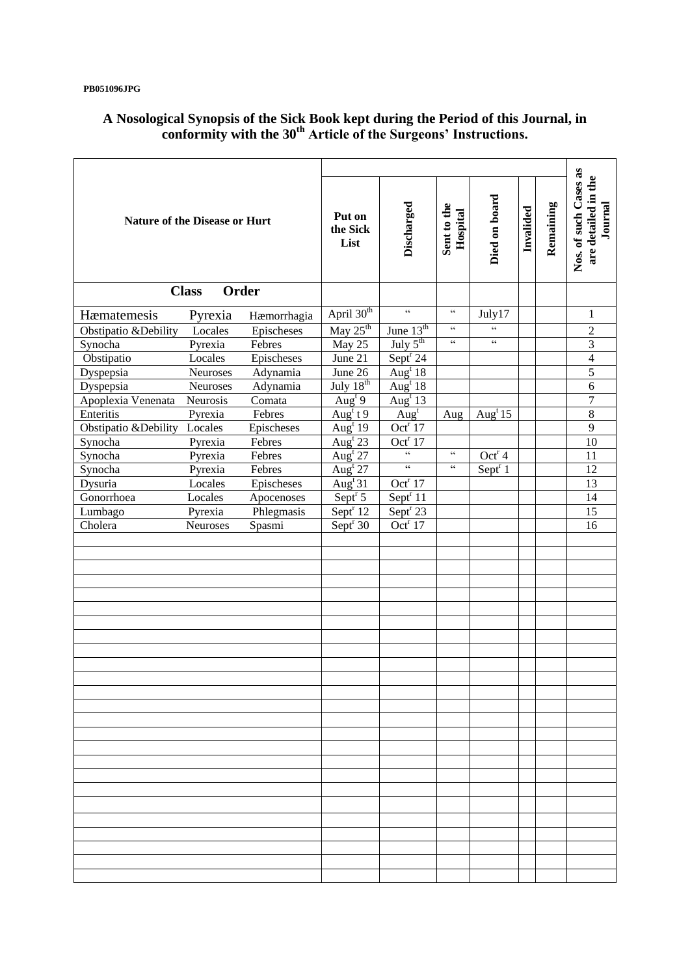### **PB051096JPG**

| <b>Nature of the Disease or Hurt</b> |          |             | Put on<br>the Sick<br>List            | Discharged                                        | Sent to the<br>Hospital                           | Died on board                                     | Invalided | Remaining | Nos. of such Cases as<br>are detailed in the<br>Journal |
|--------------------------------------|----------|-------------|---------------------------------------|---------------------------------------------------|---------------------------------------------------|---------------------------------------------------|-----------|-----------|---------------------------------------------------------|
| Order<br><b>Class</b>                |          |             |                                       |                                                   |                                                   |                                                   |           |           |                                                         |
| Hæmatemesis                          | Pyrexia  | Hæmorrhagia | April 30 <sup>th</sup>                | $\boldsymbol{\varsigma}$ $\boldsymbol{\varsigma}$ | $\zeta$ $\zeta$                                   | July17                                            |           |           | 1                                                       |
| Obstipatio & Debility                | Locales  | Epischeses  | May $25th$                            | June 13 <sup>th</sup>                             | $\zeta\,\zeta$                                    | $\boldsymbol{\varsigma}$ $\boldsymbol{\varsigma}$ |           |           | $\overline{2}$                                          |
| Synocha                              | Pyrexia  | Febres      | May 25                                | July $5^{\text{th}}$                              | $\epsilon\,\epsilon$                              | $\epsilon$ $\epsilon$                             |           |           | 3                                                       |
| Obstipatio                           | Locales  | Epischeses  | June 21                               | Sept <sup>r</sup> 24                              |                                                   |                                                   |           |           | $\overline{4}$                                          |
| Dyspepsia                            | Neuroses | Adynamia    | June 26                               | $\overline{\text{Aug}^t 18}$                      |                                                   |                                                   |           |           | 5                                                       |
| Dyspepsia                            | Neuroses | Adynamia    | July $18th$                           | Aug <sup>t</sup> $18$                             |                                                   |                                                   |           |           | 6                                                       |
| Apoplexia Venenata                   | Neurosis | Comata      | Aug <sup>t</sup> 9                    | Aug <sup>t</sup> 13                               |                                                   |                                                   |           |           | $\boldsymbol{7}$                                        |
| Enteritis                            | Pyrexia  | Febres      | Aug <sup>t</sup> t 9                  | Aug <sup>t</sup>                                  | Aug                                               | Aug <sup>t</sup> 15                               |           |           | $\overline{8}$                                          |
| Obstipatio &Debility                 | Locales  | Epischeses  | Aug <sup>t</sup> 19                   | Oct <sup>r</sup> $17$                             |                                                   |                                                   |           |           | 9                                                       |
| Synocha                              | Pyrexia  | Febres      | Aug <sup>t</sup> 23                   | Oct <sup>r</sup> $17$                             |                                                   |                                                   |           |           | 10                                                      |
| Synocha                              | Pyrexia  | Febres      | $\overline{\text{Aug}^{\text{t}} 27}$ | $\overline{\mathfrak{c}}$                         | $\zeta\,\zeta$                                    | Oct <sup>r</sup> 4                                |           |           | 11                                                      |
| Synocha                              | Pyrexia  | Febres      | Aug <sup>t</sup> $27$                 | $\epsilon$                                        | $\boldsymbol{\varsigma}$ $\boldsymbol{\varsigma}$ | Sept $r_1$                                        |           |           | 12                                                      |
| Dysuria                              | Locales  | Epischeses  | Aug <sup>t</sup> $31$                 | Oct <sup>r</sup> $17$                             |                                                   |                                                   |           |           | 13                                                      |
| Gonorrhoea                           | Locales  | Apocenoses  | Sept $5$                              | Sept <sup>r</sup> 11                              |                                                   |                                                   |           |           | 14                                                      |
| Lumbago                              | Pyrexia  | Phlegmasis  | Sept $\sqrt{12}$                      | Sept <sup>r</sup> 23                              |                                                   |                                                   |           |           | 15                                                      |
| Cholera                              | Neuroses | Spasmi      | Sept $r$ 30                           | Oct <sup>r</sup> $17$                             |                                                   |                                                   |           |           | 16                                                      |
|                                      |          |             |                                       |                                                   |                                                   |                                                   |           |           |                                                         |
|                                      |          |             |                                       |                                                   |                                                   |                                                   |           |           |                                                         |
|                                      |          |             |                                       |                                                   |                                                   |                                                   |           |           |                                                         |
|                                      |          |             |                                       |                                                   |                                                   |                                                   |           |           |                                                         |
|                                      |          |             |                                       |                                                   |                                                   |                                                   |           |           |                                                         |
|                                      |          |             |                                       |                                                   |                                                   |                                                   |           |           |                                                         |
|                                      |          |             |                                       |                                                   |                                                   |                                                   |           |           |                                                         |
|                                      |          |             |                                       |                                                   |                                                   |                                                   |           |           |                                                         |
|                                      |          |             |                                       |                                                   |                                                   |                                                   |           |           |                                                         |
|                                      |          |             |                                       |                                                   |                                                   |                                                   |           |           |                                                         |
|                                      |          |             |                                       |                                                   |                                                   |                                                   |           |           |                                                         |
|                                      |          |             |                                       |                                                   |                                                   |                                                   |           |           |                                                         |
|                                      |          |             |                                       |                                                   |                                                   |                                                   |           |           |                                                         |
|                                      |          |             |                                       |                                                   |                                                   |                                                   |           |           |                                                         |
|                                      |          |             |                                       |                                                   |                                                   |                                                   |           |           |                                                         |
|                                      |          |             |                                       |                                                   |                                                   |                                                   |           |           |                                                         |
|                                      |          |             |                                       |                                                   |                                                   |                                                   |           |           |                                                         |
|                                      |          |             |                                       |                                                   |                                                   |                                                   |           |           |                                                         |
|                                      |          |             |                                       |                                                   |                                                   |                                                   |           |           |                                                         |
|                                      |          |             |                                       |                                                   |                                                   |                                                   |           |           |                                                         |
|                                      |          |             |                                       |                                                   |                                                   |                                                   |           |           |                                                         |
|                                      |          |             |                                       |                                                   |                                                   |                                                   |           |           |                                                         |
|                                      |          |             |                                       |                                                   |                                                   |                                                   |           |           |                                                         |
|                                      |          |             |                                       |                                                   |                                                   |                                                   |           |           |                                                         |
|                                      |          |             |                                       |                                                   |                                                   |                                                   |           |           |                                                         |
|                                      |          |             |                                       |                                                   |                                                   |                                                   |           |           |                                                         |

## **A Nosological Synopsis of the Sick Book kept during the Period of this Journal, in conformity with the 30th Article of the Surgeons' Instructions.**